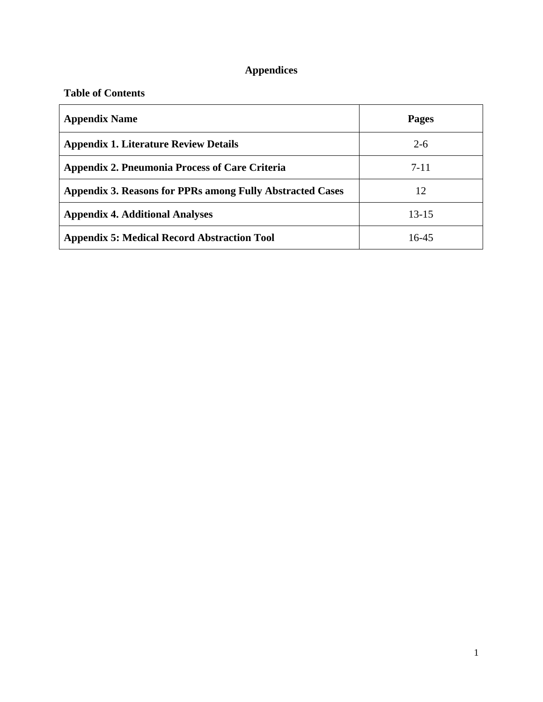# **Appendices**

# **Table of Contents**

| <b>Appendix Name</b>                                      | Pages     |
|-----------------------------------------------------------|-----------|
| <b>Appendix 1. Literature Review Details</b>              | $2 - 6$   |
| <b>Appendix 2. Pneumonia Process of Care Criteria</b>     | $7 - 11$  |
| Appendix 3. Reasons for PPRs among Fully Abstracted Cases | 12        |
| <b>Appendix 4. Additional Analyses</b>                    | $13 - 15$ |
| <b>Appendix 5: Medical Record Abstraction Tool</b>        | 16-45     |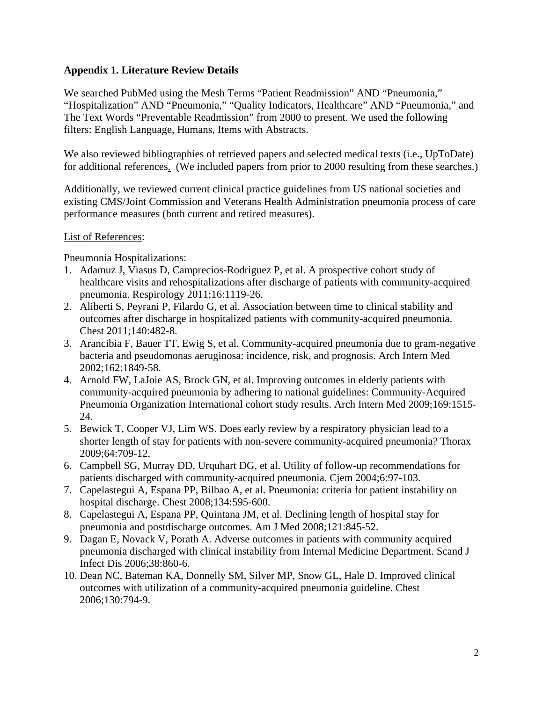# **Appendix 1. Literature Review Details**

We searched PubMed using the Mesh Terms "Patient Readmission" AND "Pneumonia," "Hospitalization" AND "Pneumonia," "Quality Indicators, Healthcare" AND "Pneumonia," and The Text Words "Preventable Readmission" from 2000 to present. We used the following filters: English Language, Humans, Items with Abstracts.

We also reviewed bibliographies of retrieved papers and selected medical texts (i.e., UpToDate) for additional references. (We included papers from prior to 2000 resulting from these searches.)

Additionally, we reviewed current clinical practice guidelines from US national societies and existing CMS/Joint Commission and Veterans Health Administration pneumonia process of care performance measures (both current and retired measures).

## List of References:

Pneumonia Hospitalizations:

- 1. Adamuz J, Viasus D, Camprecios-Rodriguez P, et al. A prospective cohort study of healthcare visits and rehospitalizations after discharge of patients with community-acquired pneumonia. Respirology 2011;16:1119-26.
- 2. Aliberti S, Peyrani P, Filardo G, et al. Association between time to clinical stability and outcomes after discharge in hospitalized patients with community-acquired pneumonia. Chest 2011;140:482-8.
- 3. Arancibia F, Bauer TT, Ewig S, et al. Community-acquired pneumonia due to gram-negative bacteria and pseudomonas aeruginosa: incidence, risk, and prognosis. Arch Intern Med 2002;162:1849-58.
- 4. Arnold FW, LaJoie AS, Brock GN, et al. Improving outcomes in elderly patients with community-acquired pneumonia by adhering to national guidelines: Community-Acquired Pneumonia Organization International cohort study results. Arch Intern Med 2009;169:1515- 24.
- 5. Bewick T, Cooper VJ, Lim WS. Does early review by a respiratory physician lead to a shorter length of stay for patients with non-severe community-acquired pneumonia? Thorax 2009;64:709-12.
- 6. Campbell SG, Murray DD, Urquhart DG, et al. Utility of follow-up recommendations for patients discharged with community-acquired pneumonia. Cjem 2004;6:97-103.
- 7. Capelastegui A, Espana PP, Bilbao A, et al. Pneumonia: criteria for patient instability on hospital discharge. Chest 2008;134:595-600.
- 8. Capelastegui A, Espana PP, Quintana JM, et al. Declining length of hospital stay for pneumonia and postdischarge outcomes. Am J Med 2008;121:845-52.
- 9. Dagan E, Novack V, Porath A. Adverse outcomes in patients with community acquired pneumonia discharged with clinical instability from Internal Medicine Department. Scand J Infect Dis 2006;38:860-6.
- 10. Dean NC, Bateman KA, Donnelly SM, Silver MP, Snow GL, Hale D. Improved clinical outcomes with utilization of a community-acquired pneumonia guideline. Chest 2006;130:794-9.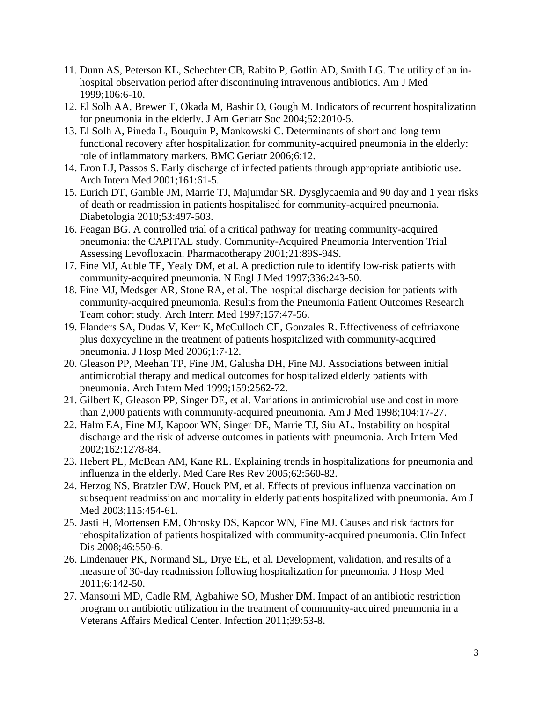- 11. Dunn AS, Peterson KL, Schechter CB, Rabito P, Gotlin AD, Smith LG. The utility of an inhospital observation period after discontinuing intravenous antibiotics. Am J Med 1999;106:6-10.
- 12. El Solh AA, Brewer T, Okada M, Bashir O, Gough M. Indicators of recurrent hospitalization for pneumonia in the elderly. J Am Geriatr Soc 2004;52:2010-5.
- 13. El Solh A, Pineda L, Bouquin P, Mankowski C. Determinants of short and long term functional recovery after hospitalization for community-acquired pneumonia in the elderly: role of inflammatory markers. BMC Geriatr 2006;6:12.
- 14. Eron LJ, Passos S. Early discharge of infected patients through appropriate antibiotic use. Arch Intern Med 2001;161:61-5.
- 15. Eurich DT, Gamble JM, Marrie TJ, Majumdar SR. Dysglycaemia and 90 day and 1 year risks of death or readmission in patients hospitalised for community-acquired pneumonia. Diabetologia 2010;53:497-503.
- 16. Feagan BG. A controlled trial of a critical pathway for treating community-acquired pneumonia: the CAPITAL study. Community-Acquired Pneumonia Intervention Trial Assessing Levofloxacin. Pharmacotherapy 2001;21:89S-94S.
- 17. Fine MJ, Auble TE, Yealy DM, et al. A prediction rule to identify low-risk patients with community-acquired pneumonia. N Engl J Med 1997;336:243-50.
- 18. Fine MJ, Medsger AR, Stone RA, et al. The hospital discharge decision for patients with community-acquired pneumonia. Results from the Pneumonia Patient Outcomes Research Team cohort study. Arch Intern Med 1997;157:47-56.
- 19. Flanders SA, Dudas V, Kerr K, McCulloch CE, Gonzales R. Effectiveness of ceftriaxone plus doxycycline in the treatment of patients hospitalized with community-acquired pneumonia. J Hosp Med 2006;1:7-12.
- 20. Gleason PP, Meehan TP, Fine JM, Galusha DH, Fine MJ. Associations between initial antimicrobial therapy and medical outcomes for hospitalized elderly patients with pneumonia. Arch Intern Med 1999;159:2562-72.
- 21. Gilbert K, Gleason PP, Singer DE, et al. Variations in antimicrobial use and cost in more than 2,000 patients with community-acquired pneumonia. Am J Med 1998;104:17-27.
- 22. Halm EA, Fine MJ, Kapoor WN, Singer DE, Marrie TJ, Siu AL. Instability on hospital discharge and the risk of adverse outcomes in patients with pneumonia. Arch Intern Med 2002;162:1278-84.
- 23. Hebert PL, McBean AM, Kane RL. Explaining trends in hospitalizations for pneumonia and influenza in the elderly. Med Care Res Rev 2005;62:560-82.
- 24. Herzog NS, Bratzler DW, Houck PM, et al. Effects of previous influenza vaccination on subsequent readmission and mortality in elderly patients hospitalized with pneumonia. Am J Med 2003;115:454-61.
- 25. Jasti H, Mortensen EM, Obrosky DS, Kapoor WN, Fine MJ. Causes and risk factors for rehospitalization of patients hospitalized with community-acquired pneumonia. Clin Infect Dis 2008;46:550-6.
- 26. Lindenauer PK, Normand SL, Drye EE, et al. Development, validation, and results of a measure of 30-day readmission following hospitalization for pneumonia. J Hosp Med 2011;6:142-50.
- 27. Mansouri MD, Cadle RM, Agbahiwe SO, Musher DM. Impact of an antibiotic restriction program on antibiotic utilization in the treatment of community-acquired pneumonia in a Veterans Affairs Medical Center. Infection 2011;39:53-8.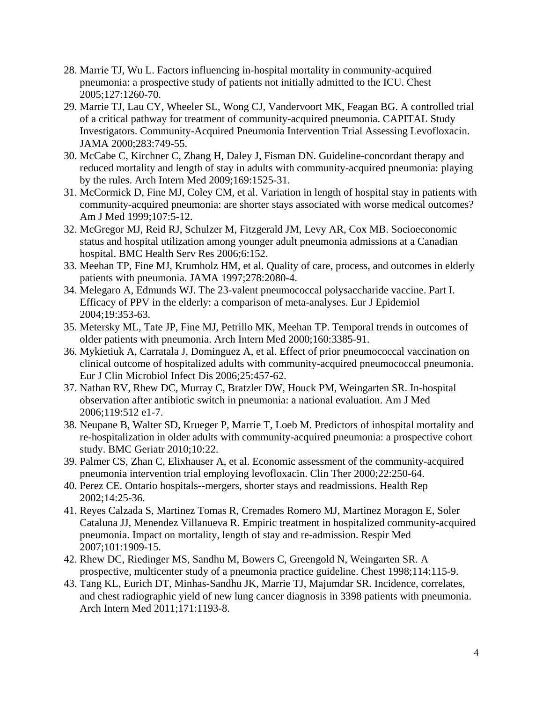- 28. Marrie TJ, Wu L. Factors influencing in-hospital mortality in community-acquired pneumonia: a prospective study of patients not initially admitted to the ICU. Chest 2005;127:1260-70.
- 29. Marrie TJ, Lau CY, Wheeler SL, Wong CJ, Vandervoort MK, Feagan BG. A controlled trial of a critical pathway for treatment of community-acquired pneumonia. CAPITAL Study Investigators. Community-Acquired Pneumonia Intervention Trial Assessing Levofloxacin. JAMA 2000;283:749-55.
- 30. McCabe C, Kirchner C, Zhang H, Daley J, Fisman DN. Guideline-concordant therapy and reduced mortality and length of stay in adults with community-acquired pneumonia: playing by the rules. Arch Intern Med 2009;169:1525-31.
- 31. McCormick D, Fine MJ, Coley CM, et al. Variation in length of hospital stay in patients with community-acquired pneumonia: are shorter stays associated with worse medical outcomes? Am J Med 1999;107:5-12.
- 32. McGregor MJ, Reid RJ, Schulzer M, Fitzgerald JM, Levy AR, Cox MB. Socioeconomic status and hospital utilization among younger adult pneumonia admissions at a Canadian hospital. BMC Health Serv Res 2006;6:152.
- 33. Meehan TP, Fine MJ, Krumholz HM, et al. Quality of care, process, and outcomes in elderly patients with pneumonia. JAMA 1997;278:2080-4.
- 34. Melegaro A, Edmunds WJ. The 23-valent pneumococcal polysaccharide vaccine. Part I. Efficacy of PPV in the elderly: a comparison of meta-analyses. Eur J Epidemiol 2004;19:353-63.
- 35. Metersky ML, Tate JP, Fine MJ, Petrillo MK, Meehan TP. Temporal trends in outcomes of older patients with pneumonia. Arch Intern Med 2000;160:3385-91.
- 36. Mykietiuk A, Carratala J, Dominguez A, et al. Effect of prior pneumococcal vaccination on clinical outcome of hospitalized adults with community-acquired pneumococcal pneumonia. Eur J Clin Microbiol Infect Dis 2006;25:457-62.
- 37. Nathan RV, Rhew DC, Murray C, Bratzler DW, Houck PM, Weingarten SR. In-hospital observation after antibiotic switch in pneumonia: a national evaluation. Am J Med 2006;119:512 e1-7.
- 38. Neupane B, Walter SD, Krueger P, Marrie T, Loeb M. Predictors of inhospital mortality and re-hospitalization in older adults with community-acquired pneumonia: a prospective cohort study. BMC Geriatr 2010;10:22.
- 39. Palmer CS, Zhan C, Elixhauser A, et al. Economic assessment of the community-acquired pneumonia intervention trial employing levofloxacin. Clin Ther 2000;22:250-64.
- 40. Perez CE. Ontario hospitals--mergers, shorter stays and readmissions. Health Rep 2002;14:25-36.
- 41. Reyes Calzada S, Martinez Tomas R, Cremades Romero MJ, Martinez Moragon E, Soler Cataluna JJ, Menendez Villanueva R. Empiric treatment in hospitalized community-acquired pneumonia. Impact on mortality, length of stay and re-admission. Respir Med 2007;101:1909-15.
- 42. Rhew DC, Riedinger MS, Sandhu M, Bowers C, Greengold N, Weingarten SR. A prospective, multicenter study of a pneumonia practice guideline. Chest 1998;114:115-9.
- 43. Tang KL, Eurich DT, Minhas-Sandhu JK, Marrie TJ, Majumdar SR. Incidence, correlates, and chest radiographic yield of new lung cancer diagnosis in 3398 patients with pneumonia. Arch Intern Med 2011;171:1193-8.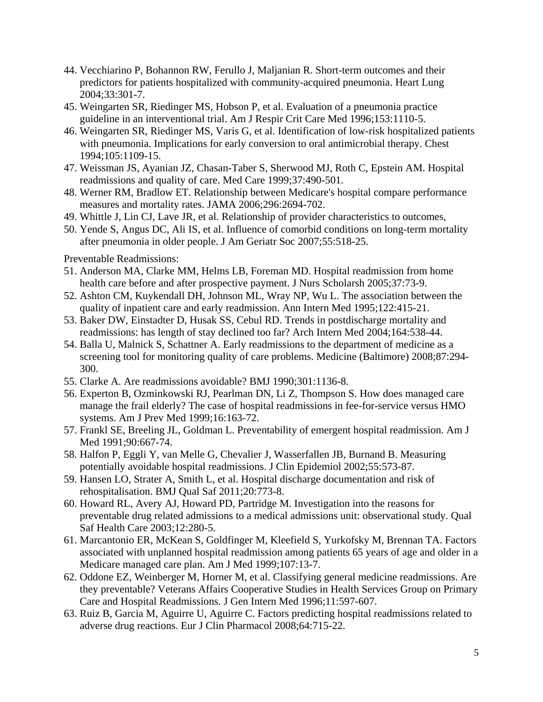- 44. Vecchiarino P, Bohannon RW, Ferullo J, Maljanian R. Short-term outcomes and their predictors for patients hospitalized with community-acquired pneumonia. Heart Lung 2004;33:301-7.
- 45. Weingarten SR, Riedinger MS, Hobson P, et al. Evaluation of a pneumonia practice guideline in an interventional trial. Am J Respir Crit Care Med 1996;153:1110-5.
- 46. Weingarten SR, Riedinger MS, Varis G, et al. Identification of low-risk hospitalized patients with pneumonia. Implications for early conversion to oral antimicrobial therapy. Chest 1994;105:1109-15.
- 47. Weissman JS, Ayanian JZ, Chasan-Taber S, Sherwood MJ, Roth C, Epstein AM. Hospital readmissions and quality of care. Med Care 1999;37:490-501.
- 48. Werner RM, Bradlow ET. Relationship between Medicare's hospital compare performance measures and mortality rates. JAMA 2006;296:2694-702.
- 49. Whittle J, Lin CJ, Lave JR, et al. Relationship of provider characteristics to outcomes,
- 50. Yende S, Angus DC, Ali IS, et al. Influence of comorbid conditions on long-term mortality after pneumonia in older people. J Am Geriatr Soc 2007;55:518-25.

Preventable Readmissions:

- 51. Anderson MA, Clarke MM, Helms LB, Foreman MD. Hospital readmission from home health care before and after prospective payment. J Nurs Scholarsh 2005;37:73-9.
- 52. Ashton CM, Kuykendall DH, Johnson ML, Wray NP, Wu L. The association between the quality of inpatient care and early readmission. Ann Intern Med 1995;122:415-21.
- 53. Baker DW, Einstadter D, Husak SS, Cebul RD. Trends in postdischarge mortality and readmissions: has length of stay declined too far? Arch Intern Med 2004;164:538-44.
- 54. Balla U, Malnick S, Schattner A. Early readmissions to the department of medicine as a screening tool for monitoring quality of care problems. Medicine (Baltimore) 2008;87:294- 300.
- 55. Clarke A. Are readmissions avoidable? BMJ 1990;301:1136-8.
- 56. Experton B, Ozminkowski RJ, Pearlman DN, Li Z, Thompson S. How does managed care manage the frail elderly? The case of hospital readmissions in fee-for-service versus HMO systems. Am J Prev Med 1999;16:163-72.
- 57. Frankl SE, Breeling JL, Goldman L. Preventability of emergent hospital readmission. Am J Med 1991;90:667-74.
- 58. Halfon P, Eggli Y, van Melle G, Chevalier J, Wasserfallen JB, Burnand B. Measuring potentially avoidable hospital readmissions. J Clin Epidemiol 2002;55:573-87.
- 59. Hansen LO, Strater A, Smith L, et al. Hospital discharge documentation and risk of rehospitalisation. BMJ Qual Saf 2011;20:773-8.
- 60. Howard RL, Avery AJ, Howard PD, Partridge M. Investigation into the reasons for preventable drug related admissions to a medical admissions unit: observational study. Qual Saf Health Care 2003;12:280-5.
- 61. Marcantonio ER, McKean S, Goldfinger M, Kleefield S, Yurkofsky M, Brennan TA. Factors associated with unplanned hospital readmission among patients 65 years of age and older in a Medicare managed care plan. Am J Med 1999;107:13-7.
- 62. Oddone EZ, Weinberger M, Horner M, et al. Classifying general medicine readmissions. Are they preventable? Veterans Affairs Cooperative Studies in Health Services Group on Primary Care and Hospital Readmissions. J Gen Intern Med 1996;11:597-607.
- 63. Ruiz B, Garcia M, Aguirre U, Aguirre C. Factors predicting hospital readmissions related to adverse drug reactions. Eur J Clin Pharmacol 2008;64:715-22.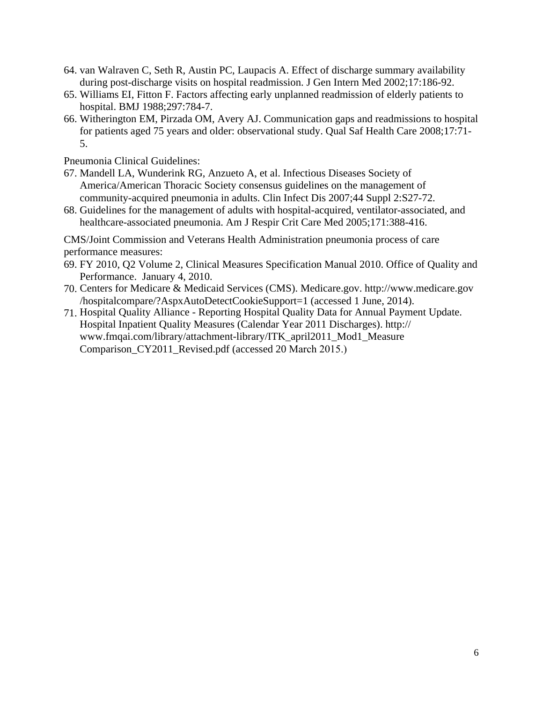- 64. van Walraven C, Seth R, Austin PC, Laupacis A. Effect of discharge summary availability during post-discharge visits on hospital readmission. J Gen Intern Med 2002;17:186-92.
- 65. Williams EI, Fitton F. Factors affecting early unplanned readmission of elderly patients to hospital. BMJ 1988;297:784-7.
- 66. Witherington EM, Pirzada OM, Avery AJ. Communication gaps and readmissions to hospital for patients aged 75 years and older: observational study. Qual Saf Health Care 2008;17:71- 5.

Pneumonia Clinical Guidelines:

- 67. Mandell LA, Wunderink RG, Anzueto A, et al. Infectious Diseases Society of America/American Thoracic Society consensus guidelines on the management of community-acquired pneumonia in adults. Clin Infect Dis 2007;44 Suppl 2:S27-72.
- 68. Guidelines for the management of adults with hospital-acquired, ventilator-associated, and healthcare-associated pneumonia. Am J Respir Crit Care Med 2005;171:388-416.

CMS/Joint Commission and Veterans Health Administration pneumonia process of care performance measures:

- 69. FY 2010, Q2 Volume 2, Clinical Measures Specification Manual 2010. Office of Quality and Performance. January 4, 2010.
- 70. Centers for Medicare & Medicaid Services (CMS). Medicare.gov. http://www.medicare.gov /hospitalcompare/?AspxAutoDetectCookieSupport=1 (accessed 1 June, 2014).
- 71. Hospital Quality Alliance Reporting Hospital Quality Data for Annual Payment Update. Hospital Inpatient Quality Measures (Calendar Year 2011 Discharges). http:// www.fmqai.[com/library/attachment-library/ITK\\_april2011\\_Mod1\\_Measure](http://www.fmqai.com/library/attachment-library/ITK_april2011_Mod1_Measure%20Comparison_CY2011_Revised.pdf)  [Comparison\\_CY2011\\_Revised.pdf](http://www.fmqai.com/library/attachment-library/ITK_april2011_Mod1_Measure%20Comparison_CY2011_Revised.pdf) (accessed 20 March 2015.)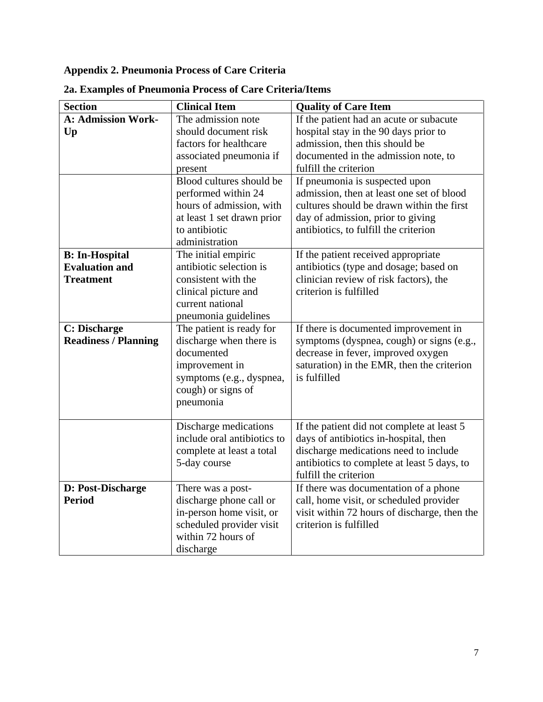# **Appendix 2. Pneumonia Process of Care Criteria**

| <b>Section</b>              | <b>Clinical Item</b>        | <b>Quality of Care Item</b>                  |
|-----------------------------|-----------------------------|----------------------------------------------|
| <b>A: Admission Work-</b>   | The admission note          | If the patient had an acute or subacute      |
| Up                          | should document risk        | hospital stay in the 90 days prior to        |
|                             | factors for healthcare      | admission, then this should be               |
|                             | associated pneumonia if     | documented in the admission note, to         |
|                             | present                     | fulfill the criterion                        |
|                             | Blood cultures should be    | If pneumonia is suspected upon               |
|                             | performed within 24         | admission, then at least one set of blood    |
|                             | hours of admission, with    | cultures should be drawn within the first    |
|                             | at least 1 set drawn prior  | day of admission, prior to giving            |
|                             | to antibiotic               | antibiotics, to fulfill the criterion        |
|                             | administration              |                                              |
| <b>B:</b> In-Hospital       | The initial empiric         | If the patient received appropriate          |
| <b>Evaluation and</b>       | antibiotic selection is     | antibiotics (type and dosage; based on       |
| <b>Treatment</b>            | consistent with the         | clinician review of risk factors), the       |
|                             | clinical picture and        | criterion is fulfilled                       |
|                             | current national            |                                              |
|                             | pneumonia guidelines        |                                              |
| <b>C: Discharge</b>         | The patient is ready for    | If there is documented improvement in        |
| <b>Readiness / Planning</b> | discharge when there is     | symptoms (dyspnea, cough) or signs (e.g.,    |
|                             | documented                  | decrease in fever, improved oxygen           |
|                             | improvement in              | saturation) in the EMR, then the criterion   |
|                             | symptoms (e.g., dyspnea,    | is fulfilled                                 |
|                             | cough) or signs of          |                                              |
|                             | pneumonia                   |                                              |
|                             | Discharge medications       | If the patient did not complete at least 5   |
|                             | include oral antibiotics to | days of antibiotics in-hospital, then        |
|                             | complete at least a total   | discharge medications need to include        |
|                             | 5-day course                | antibiotics to complete at least 5 days, to  |
|                             |                             | fulfill the criterion                        |
| D: Post-Discharge           | There was a post-           | If there was documentation of a phone        |
| <b>Period</b>               | discharge phone call or     | call, home visit, or scheduled provider      |
|                             | in-person home visit, or    | visit within 72 hours of discharge, then the |
|                             | scheduled provider visit    | criterion is fulfilled                       |
|                             | within 72 hours of          |                                              |
|                             | discharge                   |                                              |

# **2a. Examples of Pneumonia Process of Care Criteria/Items**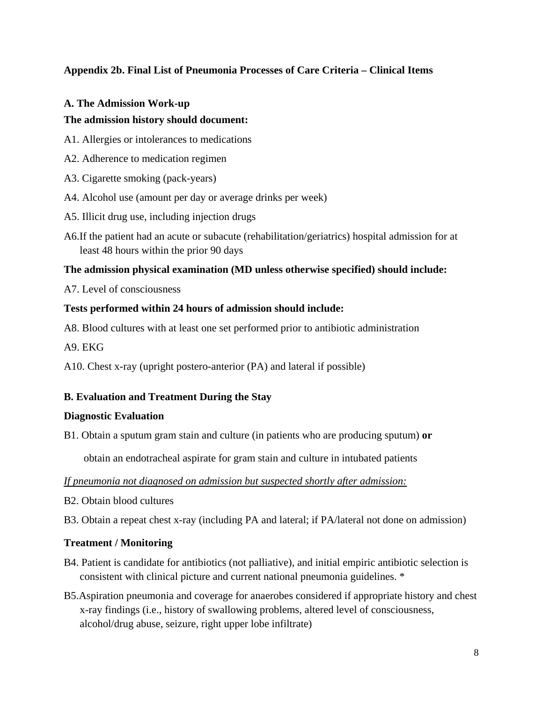# **Appendix 2b. Final List of Pneumonia Processes of Care Criteria – Clinical Items**

# **A. The Admission Work-up**

## **The admission history should document:**

- A1. Allergies or intolerances to medications
- A2. Adherence to medication regimen
- A3. Cigarette smoking (pack-years)
- A4. Alcohol use (amount per day or average drinks per week)
- A5. Illicit drug use, including injection drugs
- A6.If the patient had an acute or subacute (rehabilitation/geriatrics) hospital admission for at least 48 hours within the prior 90 days

## **The admission physical examination (MD unless otherwise specified) should include:**

A7. Level of consciousness

## **Tests performed within 24 hours of admission should include:**

A8. Blood cultures with at least one set performed prior to antibiotic administration

A9. EKG

A10. Chest x-ray (upright postero-anterior (PA) and lateral if possible)

# **B. Evaluation and Treatment During the Stay**

#### **Diagnostic Evaluation**

B1. Obtain a sputum gram stain and culture (in patients who are producing sputum) **or** 

obtain an endotracheal aspirate for gram stain and culture in intubated patients

*If pneumonia not diagnosed on admission but suspected shortly after admission:* 

- B2. Obtain blood cultures
- B3. Obtain a repeat chest x-ray (including PA and lateral; if PA/lateral not done on admission)

#### **Treatment / Monitoring**

- B4. Patient is candidate for antibiotics (not palliative), and initial empiric antibiotic selection is consistent with clinical picture and current national pneumonia guidelines. \*
- B5.Aspiration pneumonia and coverage for anaerobes considered if appropriate history and chest x-ray findings (i.e., history of swallowing problems, altered level of consciousness, alcohol/drug abuse, seizure, right upper lobe infiltrate)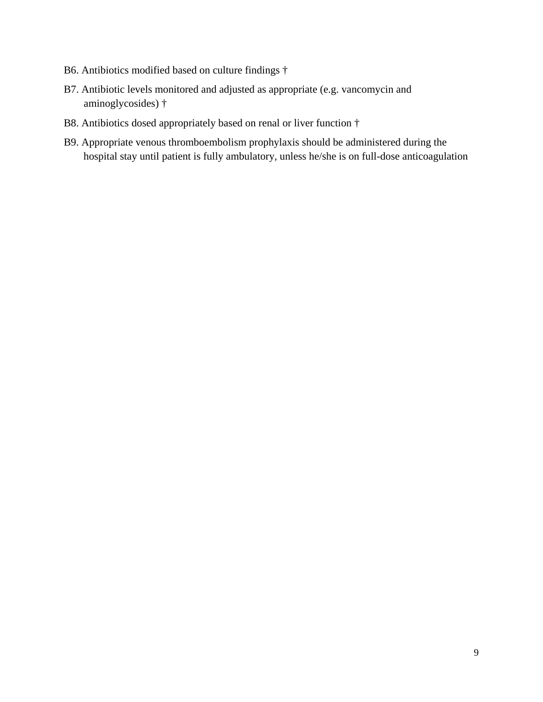- B6. Antibiotics modified based on culture findings †
- B7. Antibiotic levels monitored and adjusted as appropriate (e.g. vancomycin and aminoglycosides) †
- B8. Antibiotics dosed appropriately based on renal or liver function †
- B9. Appropriate venous thromboembolism prophylaxis should be administered during the hospital stay until patient is fully ambulatory, unless he/she is on full-dose anticoagulation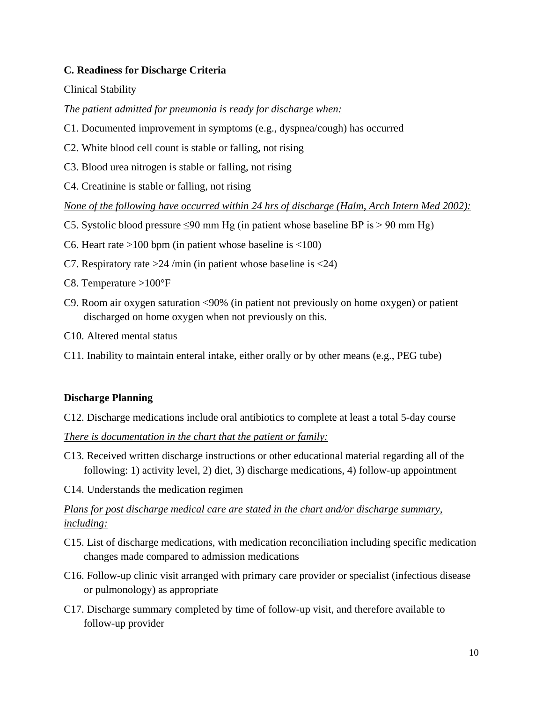# **C. Readiness for Discharge Criteria**

#### Clinical Stability

#### *The patient admitted for pneumonia is ready for discharge when:*

- C1. Documented improvement in symptoms (e.g., dyspnea/cough) has occurred
- C2. White blood cell count is stable or falling, not rising
- C3. Blood urea nitrogen is stable or falling, not rising
- C4. Creatinine is stable or falling, not rising

*None of the following have occurred within 24 hrs of discharge (Halm, Arch Intern Med 2002):* 

- C5. Systolic blood pressure  $\leq 90$  mm Hg (in patient whose baseline BP is  $> 90$  mm Hg)
- C6. Heart rate  $>100$  bpm (in patient whose baseline is  $<100$ )
- C7. Respiratory rate  $>24$  /min (in patient whose baseline is  $<24$ )
- C8. Temperature >100°F
- C9. Room air oxygen saturation <90% (in patient not previously on home oxygen) or patient discharged on home oxygen when not previously on this.
- C10. Altered mental status
- C11. Inability to maintain enteral intake, either orally or by other means (e.g., PEG tube)

#### **Discharge Planning**

C12. Discharge medications include oral antibiotics to complete at least a total 5-day course

*There is documentation in the chart that the patient or family:* 

- C13. Received written discharge instructions or other educational material regarding all of the following: 1) activity level, 2) diet, 3) discharge medications, 4) follow-up appointment
- C14. Understands the medication regimen

# *Plans for post discharge medical care are stated in the chart and/or discharge summary, including:*

- C15. List of discharge medications, with medication reconciliation including specific medication changes made compared to admission medications
- C16. Follow-up clinic visit arranged with primary care provider or specialist (infectious disease or pulmonology) as appropriate
- C17. Discharge summary completed by time of follow-up visit, and therefore available to follow-up provider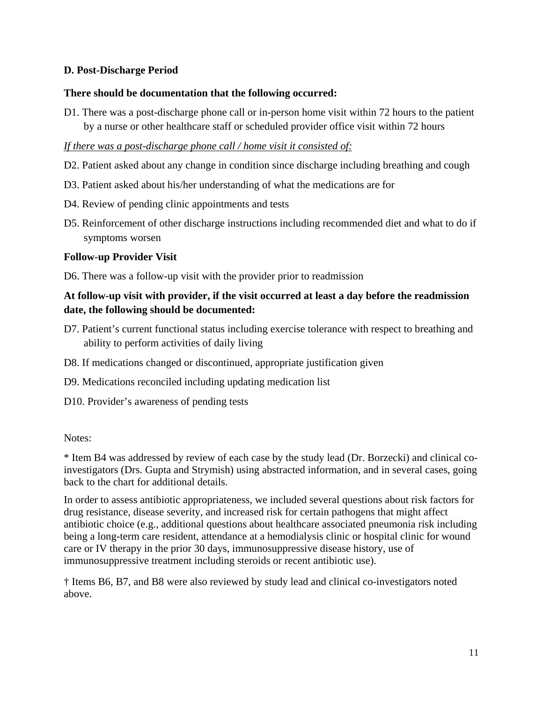# **D. Post-Discharge Period**

# **There should be documentation that the following occurred:**

D1. There was a post-discharge phone call or in-person home visit within 72 hours to the patient by a nurse or other healthcare staff or scheduled provider office visit within 72 hours

# *If there was a post-discharge phone call / home visit it consisted of:*

- D2. Patient asked about any change in condition since discharge including breathing and cough
- D3. Patient asked about his/her understanding of what the medications are for
- D4. Review of pending clinic appointments and tests
- D5. Reinforcement of other discharge instructions including recommended diet and what to do if symptoms worsen

## **Follow-up Provider Visit**

D6. There was a follow-up visit with the provider prior to readmission

# **At follow-up visit with provider, if the visit occurred at least a day before the readmission date, the following should be documented:**

- D7. Patient's current functional status including exercise tolerance with respect to breathing and ability to perform activities of daily living
- D8. If medications changed or discontinued, appropriate justification given
- D9. Medications reconciled including updating medication list
- D10. Provider's awareness of pending tests

#### Notes:

\* Item B4 was addressed by review of each case by the study lead (Dr. Borzecki) and clinical coinvestigators (Drs. Gupta and Strymish) using abstracted information, and in several cases, going back to the chart for additional details.

In order to assess antibiotic appropriateness, we included several questions about risk factors for drug resistance, disease severity, and increased risk for certain pathogens that might affect antibiotic choice (e.g., additional questions about healthcare associated pneumonia risk including being a long-term care resident, attendance at a hemodialysis clinic or hospital clinic for wound care or IV therapy in the prior 30 days, immunosuppressive disease history, use of immunosuppressive treatment including steroids or recent antibiotic use).

† Items B6, B7, and B8 were also reviewed by study lead and clinical co-investigators noted above.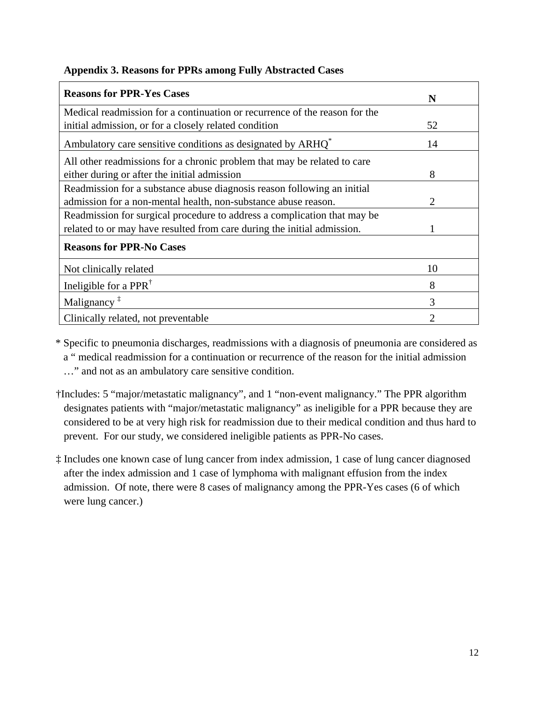| <b>Reasons for PPR-Yes Cases</b>                                           | N                           |
|----------------------------------------------------------------------------|-----------------------------|
| Medical readmission for a continuation or recurrence of the reason for the |                             |
| initial admission, or for a closely related condition                      | 52                          |
| Ambulatory care sensitive conditions as designated by ARHQ <sup>*</sup>    | 14                          |
| All other readmissions for a chronic problem that may be related to care   |                             |
| either during or after the initial admission                               | 8                           |
| Readmission for a substance abuse diagnosis reason following an initial    |                             |
| admission for a non-mental health, non-substance abuse reason.             | $\mathcal{D}_{\mathcal{L}}$ |
| Readmission for surgical procedure to address a complication that may be   |                             |
| related to or may have resulted from care during the initial admission.    |                             |
| <b>Reasons for PPR-No Cases</b>                                            |                             |
| Not clinically related                                                     | 10                          |
| Ineligible for a PPR <sup>†</sup>                                          | 8                           |
| Malignancy <sup><math>\ddagger</math></sup>                                | 3                           |
| Clinically related, not preventable                                        | 2                           |

# **Appendix 3. Reasons for PPRs among Fully Abstracted Cases**

\* Specific to pneumonia discharges, readmissions with a diagnosis of pneumonia are considered as a " medical readmission for a continuation or recurrence of the reason for the initial admission …" and not as an ambulatory care sensitive condition.

- †Includes: 5 "major/metastatic malignancy", and 1 "non-event malignancy." The PPR algorithm designates patients with "major/metastatic malignancy" as ineligible for a PPR because they are considered to be at very high risk for readmission due to their medical condition and thus hard to prevent. For our study, we considered ineligible patients as PPR-No cases.
- ‡ Includes one known case of lung cancer from index admission, 1 case of lung cancer diagnosed after the index admission and 1 case of lymphoma with malignant effusion from the index admission. Of note, there were 8 cases of malignancy among the PPR-Yes cases (6 of which were lung cancer.)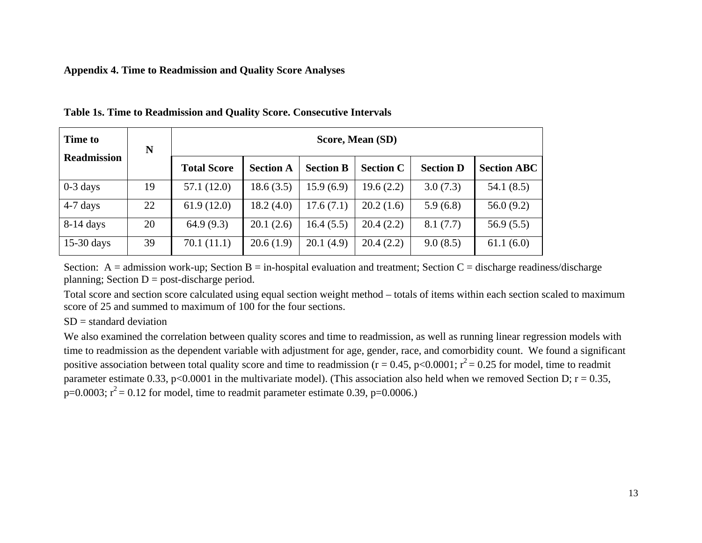#### **Appendix 4. Time to Readmission and Quality Score Analyses**

| <b>Time to</b>     | N  |                    | Score, Mean (SD) |                  |                  |                  |                    |  |  |
|--------------------|----|--------------------|------------------|------------------|------------------|------------------|--------------------|--|--|
| <b>Readmission</b> |    | <b>Total Score</b> | <b>Section A</b> | <b>Section B</b> | <b>Section C</b> | <b>Section D</b> | <b>Section ABC</b> |  |  |
| $0-3$ days         | 19 | 57.1(12.0)         | 18.6(3.5)        | 15.9(6.9)        | 19.6(2.2)        | 3.0(7.3)         | 54.1(8.5)          |  |  |
| $4-7$ days         | 22 | 61.9(12.0)         | 18.2(4.0)        | 17.6(7.1)        | 20.2(1.6)        | 5.9(6.8)         | 56.0(9.2)          |  |  |
| $8-14$ days        | 20 | 64.9(9.3)          | 20.1(2.6)        | 16.4(5.5)        | 20.4(2.2)        | 8.1(7.7)         | 56.9(5.5)          |  |  |
| $15-30$ days       | 39 | 70.1(11.1)         | 20.6(1.9)        | 20.1(4.9)        | 20.4(2.2)        | 9.0(8.5)         | 61.1(6.0)          |  |  |

**Table 1s. Time to Readmission and Quality Score. Consecutive Intervals**

Section:  $A =$ admission work-up; Section  $B =$ in-hospital evaluation and treatment; Section  $C =$  discharge readiness/discharge planning; Section  $D =$  post-discharge period.

Total score and section score calculated using equal section weight method – totals of items within each section scaled to maximum score of 25 and summed to maximum of 100 for the four sections.

#### $SD = standard deviation$

We also examined the correlation between quality scores and time to readmission, as well as running linear regression models with time to readmission as the dependent variable with adjustment for age, gender, race, and comorbidity count. We found a significant positive association between total quality score and time to readmission ( $r = 0.45$ , p<0.0001;  $r^2 = 0.25$  for model, time to readmit parameter estimate 0.33, p<0.0001 in the multivariate model). (This association also held when we removed Section D;  $r = 0.35$ ,  $p=0.0003$ ;  $r^2 = 0.12$  for model, time to readmit parameter estimate 0.39, p=0.0006.)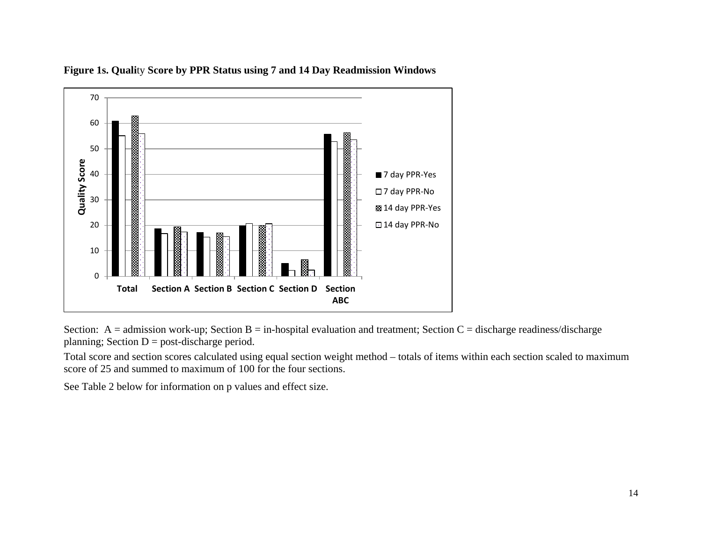

**Figure 1s. Quali**ty **Score by PPR Status using 7 and 14 Day Readmission Windows** 

Section:  $A =$ admission work-up; Section  $B =$ in-hospital evaluation and treatment; Section  $C =$  discharge readiness/discharge planning; Section  $D =$  post-discharge period.

Total score and section scores calculated using equal section weight method – totals of items within each section scaled to maximum score of 25 and summed to maximum of 100 for the four sections.

See Table 2 below for information on p values and effect size.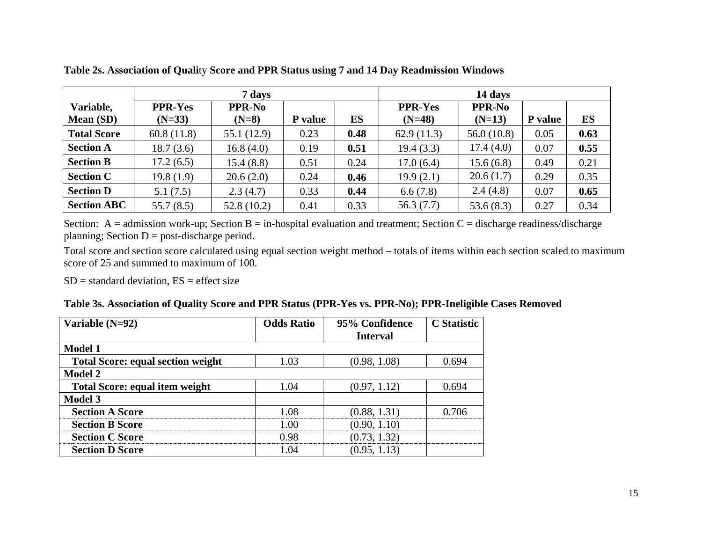|                    |                | 7 days        |                | 14 days |                |               |         |      |
|--------------------|----------------|---------------|----------------|---------|----------------|---------------|---------|------|
| Variable,          | <b>PPR-Yes</b> | <b>PPR-No</b> |                |         | <b>PPR-Yes</b> | <b>PPR-No</b> |         |      |
| <b>Mean (SD)</b>   | $(N=33)$       | $(N=8)$       | <b>P</b> value | ES      | $(N=48)$       | $(N=13)$      | P value | ES   |
| <b>Total Score</b> | 60.8(11.8)     | 55.1 (12.9)   | 0.23           | 0.48    | 62.9(11.3)     | 56.0(10.8)    | 0.05    | 0.63 |
| <b>Section A</b>   | 18.7(3.6)      | 16.8(4.0)     | 0.19           | 0.51    | 19.4(3.3)      | 17.4(4.0)     | 0.07    | 0.55 |
| <b>Section B</b>   | 17.2(6.5)      | 15.4(8.8)     | 0.51           | 0.24    | 17.0(6.4)      | 15.6(6.8)     | 0.49    | 0.21 |
| <b>Section C</b>   | 19.8(1.9)      | 20.6(2.0)     | 0.24           | 0.46    | 19.9(2.1)      | 20.6(1.7)     | 0.29    | 0.35 |
| <b>Section D</b>   | 5.1(7.5)       | 2.3(4.7)      | 0.33           | 0.44    | 6.6(7.8)       | 2.4(4.8)      | 0.07    | 0.65 |
| <b>Section ABC</b> | 55.7(8.5)      | 52.8(10.2)    | 0.41           | 0.33    | 56.3(7.7)      | 53.6(8.3)     | 0.27    | 0.34 |

**Table 2s. Association of Quali**ty **Score and PPR Status using 7 and 14 Day Readmission Windows** 

Section:  $A =$  admission work-up; Section  $B =$  in-hospital evaluation and treatment; Section  $C =$  discharge readiness/discharge planning; Section  $D =$  post-discharge period.

Total score and section score calculated using equal section weight method – totals of items within each section scaled to maximum score of 25 and summed to maximum of 100.

 $SD = standard deviation, ES = effect size$ 

|  |  |  |  | Table 3s. Association of Quality Score and PPR Status (PPR-Yes vs. PPR-No); PPR-Ineligible Cases Removed |
|--|--|--|--|----------------------------------------------------------------------------------------------------------|
|  |  |  |  |                                                                                                          |

| Variable $(N=92)$                        | <b>Odds Ratio</b> | 95% Confidence  | <b>C</b> Statistic |
|------------------------------------------|-------------------|-----------------|--------------------|
|                                          |                   | <b>Interval</b> |                    |
| <b>Model 1</b>                           |                   |                 |                    |
| <b>Total Score: equal section weight</b> | 1.03              | (0.98, 1.08)    | 0.694              |
| <b>Model 2</b>                           |                   |                 |                    |
| <b>Total Score: equal item weight</b>    | 1 O4              | (0.97, 1.12)    | 0.694              |
| <b>Model 3</b>                           |                   |                 |                    |
| <b>Section A Score</b>                   | - 08              | (0.88, 1.31)    |                    |
| <b>Section B Score</b>                   |                   | (0.90, 1.10)    |                    |
| <b>Section C Score</b>                   | ) 98              | (0.73, 1.32)    |                    |
| <b>Section D Score</b>                   |                   | (0.95, 1.13)    |                    |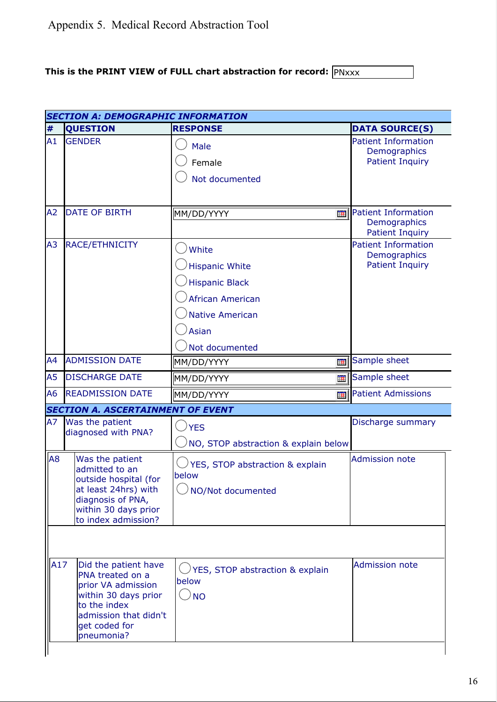# **This is the PRINT VIEW of FULL chart abstraction for record:**  $\overline{PNxx}$

|                | <b>SECTION A: DEMOGRAPHIC INFORMATION</b>                         |                                            |            |                                            |  |  |  |
|----------------|-------------------------------------------------------------------|--------------------------------------------|------------|--------------------------------------------|--|--|--|
| #              | <b>QUESTION</b>                                                   | <b>RESPONSE</b>                            |            | <b>DATA SOURCE(S)</b>                      |  |  |  |
| A1             | <b>GENDER</b>                                                     | <b>Male</b>                                |            | <b>Patient Information</b><br>Demographics |  |  |  |
|                |                                                                   | Female                                     |            | <b>Patient Inquiry</b>                     |  |  |  |
|                |                                                                   | Not documented                             |            |                                            |  |  |  |
|                |                                                                   |                                            |            |                                            |  |  |  |
| A <sub>2</sub> | <b>DATE OF BIRTH</b>                                              | MM/DD/YYYY                                 | 再          | <b>Patient Information</b>                 |  |  |  |
|                |                                                                   |                                            |            | Demographics<br><b>Patient Inquiry</b>     |  |  |  |
| A <sub>3</sub> | RACE/ETHNICITY                                                    | White                                      |            | <b>Patient Information</b><br>Demographics |  |  |  |
|                |                                                                   | <b>Hispanic White</b>                      |            | <b>Patient Inquiry</b>                     |  |  |  |
|                |                                                                   | <b>Hispanic Black</b>                      |            |                                            |  |  |  |
|                |                                                                   | <b>African American</b>                    |            |                                            |  |  |  |
|                |                                                                   | <b>Native American</b>                     |            |                                            |  |  |  |
|                |                                                                   | <b>Asian</b>                               |            |                                            |  |  |  |
|                |                                                                   | Not documented                             |            |                                            |  |  |  |
| A4             | <b>ADMISSION DATE</b>                                             | MM/DD/YYYY                                 | 詽          | Sample sheet                               |  |  |  |
| A <sub>5</sub> | <b>DISCHARGE DATE</b>                                             | MM/DD/YYYY                                 | <b>THE</b> | Sample sheet                               |  |  |  |
| A <sub>6</sub> | <b>READMISSION DATE</b>                                           | MM/DD/YYYY                                 | Ħ          | <b>Patient Admissions</b>                  |  |  |  |
|                | <b>SECTION A. ASCERTAINMENT OF EVENT</b>                          |                                            |            |                                            |  |  |  |
| A7             | Was the patient<br>diagnosed with PNA?                            | <b>YES</b>                                 |            | Discharge summary                          |  |  |  |
|                |                                                                   | NO, STOP abstraction & explain below       |            |                                            |  |  |  |
| A <sub>8</sub> | Was the patient<br>admitted to an<br>outside hospital (for        | YES, STOP abstraction & explain<br>below   |            | <b>Admission note</b>                      |  |  |  |
|                | at least 24hrs) with<br>diagnosis of PNA,<br>within 30 days prior | NO/Not documented                          |            |                                            |  |  |  |
|                | to index admission?                                               |                                            |            |                                            |  |  |  |
|                |                                                                   |                                            |            |                                            |  |  |  |
| A17            | Did the patient have                                              | $\sqrt{2}$ YES, STOP abstraction & explain |            | <b>Admission note</b>                      |  |  |  |
|                | PNA treated on a<br>prior VA admission                            | below                                      |            |                                            |  |  |  |
|                | within 30 days prior<br>to the index                              | <b>NO</b>                                  |            |                                            |  |  |  |
|                | admission that didn't                                             |                                            |            |                                            |  |  |  |
|                | get coded for<br>pneumonia?                                       |                                            |            |                                            |  |  |  |
|                |                                                                   |                                            |            |                                            |  |  |  |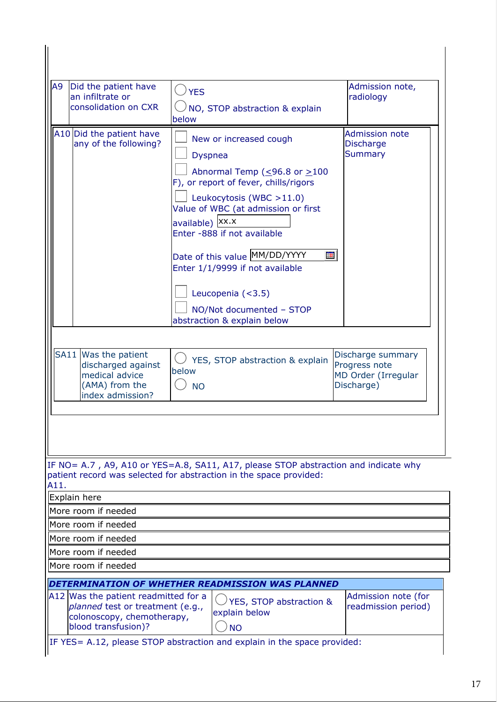| A9<br>Did the patient have<br>an infiltrate or<br>consolidation on CXR                                 | $\cup$ YES<br>NO, STOP abstraction & explain                                                                                                                                                                                                                                                                                                                                                                     | Admission note,<br>radiology                                            |
|--------------------------------------------------------------------------------------------------------|------------------------------------------------------------------------------------------------------------------------------------------------------------------------------------------------------------------------------------------------------------------------------------------------------------------------------------------------------------------------------------------------------------------|-------------------------------------------------------------------------|
|                                                                                                        | below                                                                                                                                                                                                                                                                                                                                                                                                            |                                                                         |
| A10 Did the patient have<br>any of the following?                                                      | New or increased cough<br><b>Dyspnea</b><br>Abnormal Temp ( $\leq$ 96.8 or $\geq$ 100<br>F), or report of fever, chills/rigors<br>Leukocytosis (WBC >11.0)<br>Value of WBC (at admission or first<br>available)   XX.X<br>Enter -888 if not available<br>Date of this value MM/DD/YYYY<br>Ħ.<br>Enter 1/1/9999 if not available<br>Leucopenia $(3.5)$<br>NO/Not documented - STOP<br>abstraction & explain below | <b>Admission note</b><br><b>Discharge</b><br><b>Summary</b>             |
| SA11 Was the patient<br>discharged against<br>medical advice<br>(AMA) from the<br>index admission?     | YES, STOP abstraction & explain<br>below<br><b>NO</b>                                                                                                                                                                                                                                                                                                                                                            | Discharge summary<br>Progress note<br>MD Order (Irregular<br>Discharge) |
|                                                                                                        |                                                                                                                                                                                                                                                                                                                                                                                                                  |                                                                         |
| A11.                                                                                                   | IF NO= A.7, A9, A10 or YES=A.8, SA11, A17, please STOP abstraction and indicate why<br>patient record was selected for abstraction in the space provided:                                                                                                                                                                                                                                                        |                                                                         |
| Explain here                                                                                           |                                                                                                                                                                                                                                                                                                                                                                                                                  |                                                                         |
| More room if needed                                                                                    |                                                                                                                                                                                                                                                                                                                                                                                                                  |                                                                         |
| More room if needed                                                                                    |                                                                                                                                                                                                                                                                                                                                                                                                                  |                                                                         |
| More room if needed                                                                                    |                                                                                                                                                                                                                                                                                                                                                                                                                  |                                                                         |
| More room if needed                                                                                    |                                                                                                                                                                                                                                                                                                                                                                                                                  |                                                                         |
| More room if needed                                                                                    |                                                                                                                                                                                                                                                                                                                                                                                                                  |                                                                         |
|                                                                                                        | DETERMINATION OF WHETHER READMISSION WAS PLANNED                                                                                                                                                                                                                                                                                                                                                                 |                                                                         |
| A12 Was the patient readmitted for a<br>planned test or treatment (e.g.,<br>colonoscopy, chemotherapy, | YES, STOP abstraction &<br>explain below                                                                                                                                                                                                                                                                                                                                                                         | Admission note (for<br>readmission period)                              |

 $\vert$ IF YES= A.12, please STOP abstraction and explain in the space provided: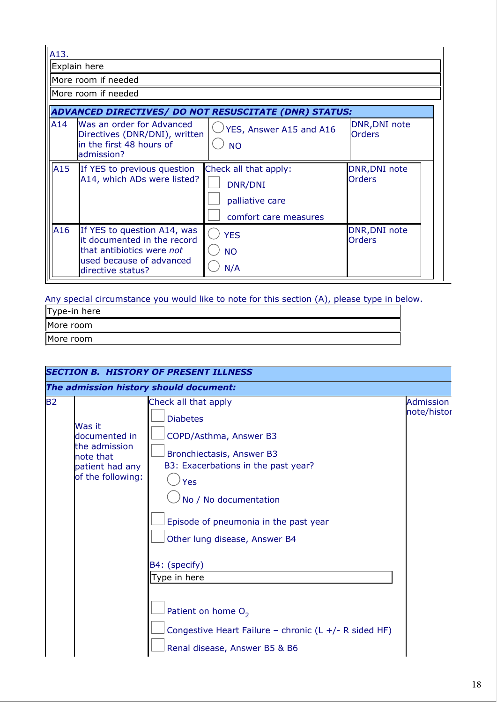A13.

Explain here

More room if needed

More room if needed

| ADVANCED DIRECTIVES/ DO NOT RESUSCITATE (DNR) STATUS: |                                                                                                                                          |                                                                              |                                       |  |  |
|-------------------------------------------------------|------------------------------------------------------------------------------------------------------------------------------------------|------------------------------------------------------------------------------|---------------------------------------|--|--|
| A14                                                   | Was an order for Advanced<br>Directives (DNR/DNI), written<br>in the first 48 hours of<br>admission?                                     | $\sqrt{2}$ YES, Answer A15 and A16<br><b>NO</b>                              | <b>DNR, DNI note</b><br><b>Orders</b> |  |  |
| A <sub>15</sub>                                       | If YES to previous question<br>A14, which ADs were listed?                                                                               | Check all that apply:<br>DNR/DNI<br>palliative care<br>comfort care measures | DNR, DNI note<br><b>Orders</b>        |  |  |
| A16                                                   | If YES to question A14, was<br>it documented in the record<br>that antibiotics were not<br>used because of advanced<br>directive status? | <b>YES</b><br><b>NO</b><br>N/A                                               | <b>DNR, DNI note</b><br><b>Orders</b> |  |  |

Any special circumstance you would like to note for this section (A), please type in below.

| Type-in here |  |
|--------------|--|
| More room    |  |
| More room    |  |

|           |                                                                                               | <b>SECTION B. HISTORY OF PRESENT ILLNESS</b>                                                                                                                                                                                                                                                                                                                                                        |                          |
|-----------|-----------------------------------------------------------------------------------------------|-----------------------------------------------------------------------------------------------------------------------------------------------------------------------------------------------------------------------------------------------------------------------------------------------------------------------------------------------------------------------------------------------------|--------------------------|
|           |                                                                                               | The admission history should document:                                                                                                                                                                                                                                                                                                                                                              |                          |
| <b>B2</b> | Was it<br>documented in<br>the admission<br>note that<br>patient had any<br>of the following: | Check all that apply<br><b>Diabetes</b><br>COPD/Asthma, Answer B3<br>Bronchiectasis, Answer B3<br>B3: Exacerbations in the past year?<br>Yes<br>No / No documentation<br>Episode of pneumonia in the past year<br>Other lung disease, Answer B4<br>B4: (specify)<br>Type in here<br>Patient on home $O_2$<br>Congestive Heart Failure - chronic (L +/- R sided HF)<br>Renal disease, Answer B5 & B6 | Admission<br>note/histor |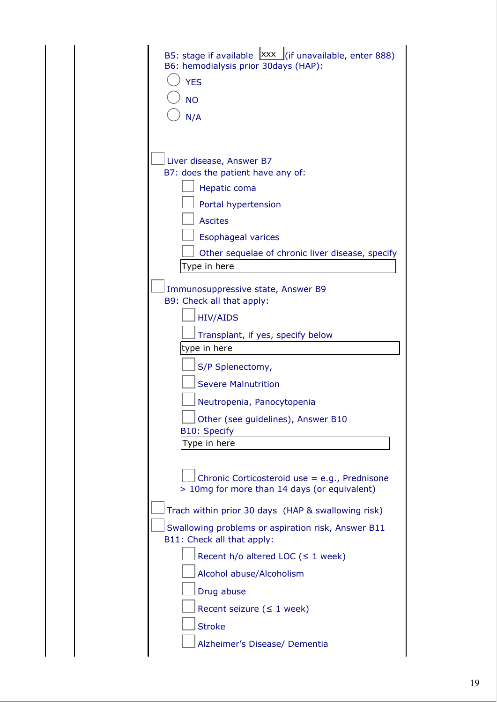| B5: stage if available $\frac{ XXX }{ S }$ (if unavailable, enter 888)<br>B6: hemodialysis prior 30days (HAP): |
|----------------------------------------------------------------------------------------------------------------|
| <b>YES</b>                                                                                                     |
| <b>NO</b>                                                                                                      |
| N/A                                                                                                            |
|                                                                                                                |
| Liver disease, Answer B7<br>B7: does the patient have any of:                                                  |
| Hepatic coma                                                                                                   |
| Portal hypertension                                                                                            |
| <b>Ascites</b>                                                                                                 |
| <b>Esophageal varices</b>                                                                                      |
| Other sequelae of chronic liver disease, specify                                                               |
| Type in here                                                                                                   |
| Immunosuppressive state, Answer B9<br>B9: Check all that apply:                                                |
| <b>HIV/AIDS</b>                                                                                                |
| Transplant, if yes, specify below                                                                              |
| type in here                                                                                                   |
| S/P Splenectomy,                                                                                               |
| <b>Severe Malnutrition</b>                                                                                     |
| Neutropenia, Panocytopenia                                                                                     |
| Other (see guidelines), Answer B10<br><b>B10: Specify</b>                                                      |
| Type in here                                                                                                   |
| Chronic Corticosteroid use = e.g., Prednisone<br>> 10mg for more than 14 days (or equivalent)                  |
| Trach within prior 30 days (HAP & swallowing risk)                                                             |
| Swallowing problems or aspiration risk, Answer B11<br>B11: Check all that apply:                               |
| Recent $h/o$ altered LOC ( $\leq 1$ week)                                                                      |
| Alcohol abuse/Alcoholism                                                                                       |
| Drug abuse                                                                                                     |
| Recent seizure ( $\leq 1$ week)                                                                                |
| <b>Stroke</b>                                                                                                  |
| Alzheimer's Disease/ Dementia                                                                                  |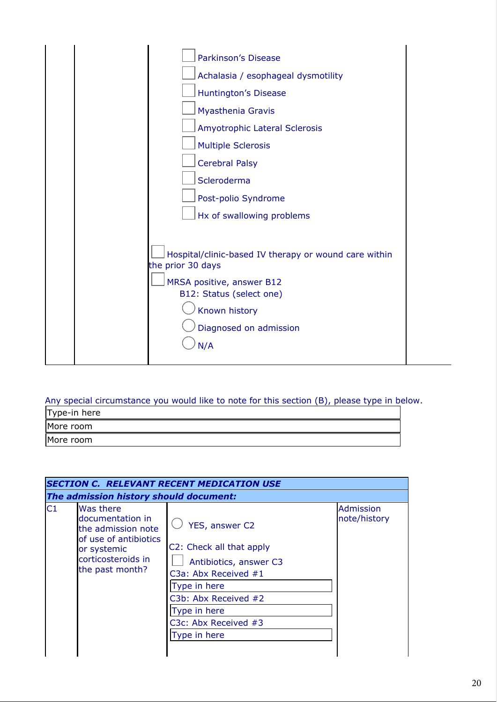

#### Any special circumstance you would like to note for this section (B), please type in below.

| Type-in here |  |
|--------------|--|
| More room    |  |
| More room    |  |

| <b>SECTION C. RELEVANT RECENT MEDICATION USE</b>                                                                                            |                                                                                                                                                                                              |                                        |  |  |  |  |
|---------------------------------------------------------------------------------------------------------------------------------------------|----------------------------------------------------------------------------------------------------------------------------------------------------------------------------------------------|----------------------------------------|--|--|--|--|
|                                                                                                                                             |                                                                                                                                                                                              |                                        |  |  |  |  |
| <b>Was there</b><br>documentation in<br>the admission note<br>of use of antibiotics<br>or systemic<br>corticosteroids in<br>the past month? | YES, answer C2<br>C2: Check all that apply<br>Antibiotics, answer C3<br>C3a: Abx Received #1<br>Type in here<br>C3b: Abx Received #2<br>Type in here<br>C3c: Abx Received #3<br>Type in here | <b>Admission</b><br>note/history       |  |  |  |  |
|                                                                                                                                             |                                                                                                                                                                                              | The admission history should document: |  |  |  |  |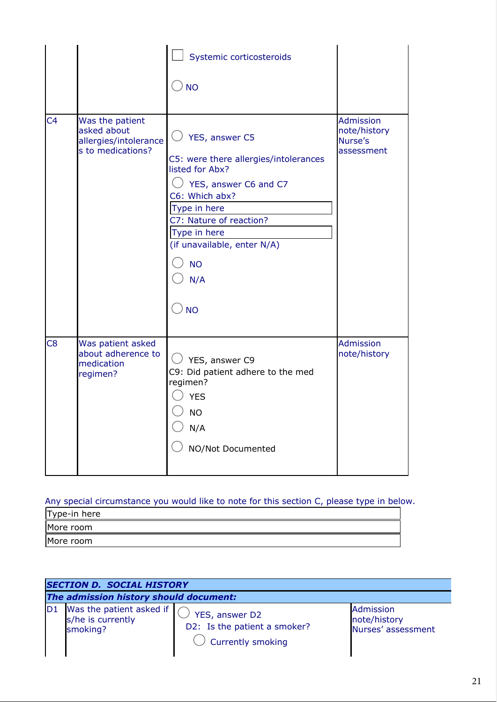|                |                                                                              | Systemic corticosteroids<br>$\cup$ NO                                                                                                                                                                                                            |                                                           |
|----------------|------------------------------------------------------------------------------|--------------------------------------------------------------------------------------------------------------------------------------------------------------------------------------------------------------------------------------------------|-----------------------------------------------------------|
| C <sub>4</sub> | Was the patient<br>asked about<br>allergies/intolerance<br>s to medications? | YES, answer C5<br>C5: were there allergies/intolerances<br>listed for Abx?<br>YES, answer C6 and C7<br>C6: Which abx?<br>Type in here<br>C7: Nature of reaction?<br>Type in here<br>(if unavailable, enter N/A)<br><b>NO</b><br>N/A<br><b>NO</b> | <b>Admission</b><br>note/history<br>Nurse's<br>assessment |
| C <sub>8</sub> | Was patient asked<br>about adherence to<br>medication<br>regimen?            | $\cup$ YES, answer C9<br>C9: Did patient adhere to the med<br>regimen?<br><b>YES</b><br><b>NO</b><br>N/A<br>NO/Not Documented                                                                                                                    | <b>Admission</b><br>note/history                          |

# Any special circumstance you would like to note for this section C, please type in below.

| Type-in here |  |
|--------------|--|
| More room    |  |
| More room    |  |

|                | <b>SECTION D. SOCIAL HISTORY</b>                         |                                                                     |                                                 |  |  |  |  |
|----------------|----------------------------------------------------------|---------------------------------------------------------------------|-------------------------------------------------|--|--|--|--|
|                | The admission history should document:                   |                                                                     |                                                 |  |  |  |  |
| D <sub>1</sub> | Was the patient asked if $s/he$ is currently<br>smoking? | YES, answer D2<br>D2: Is the patient a smoker?<br>Currently smoking | Admission<br>note/history<br>Nurses' assessment |  |  |  |  |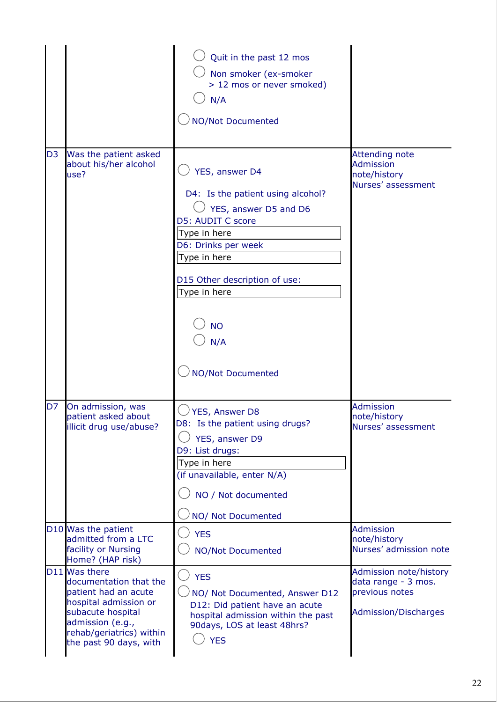|                |                                                                                                                                                                                         | Quit in the past 12 mos<br>Non smoker (ex-smoker<br>> 12 mos or never smoked)<br>N/A<br><b>NO/Not Documented</b>                                                                                                                                   |                                                                                                |
|----------------|-----------------------------------------------------------------------------------------------------------------------------------------------------------------------------------------|----------------------------------------------------------------------------------------------------------------------------------------------------------------------------------------------------------------------------------------------------|------------------------------------------------------------------------------------------------|
| D <sub>3</sub> | Was the patient asked<br>about his/her alcohol<br>use?                                                                                                                                  | YES, answer D4<br>D4: Is the patient using alcohol?<br>YES, answer D5 and D6<br>D5: AUDIT C score<br>Type in here<br>D6: Drinks per week<br>Type in here<br>D15 Other description of use:<br>Type in here<br><b>NO</b><br>N/A<br>NO/Not Documented | <b>Attending note</b><br><b>Admission</b><br>note/history<br>Nurses' assessment                |
| D <sub>7</sub> | On admission, was<br>patient asked about<br>illicit drug use/abuse?                                                                                                                     | YES, Answer D8<br>D8: Is the patient using drugs?<br>YES, answer D9<br>D9: List drugs:<br>Type in here<br>(if unavailable, enter N/A)<br>NO / Not documented<br>NO/ Not Documented                                                                 | Admission<br>note/history<br>Nurses' assessment                                                |
|                | D10 Was the patient<br>admitted from a LTC<br>facility or Nursing<br>Home? (HAP risk)                                                                                                   | <b>YES</b><br><b>NO/Not Documented</b>                                                                                                                                                                                                             | <b>Admission</b><br>note/history<br>Nurses' admission note                                     |
|                | D11 Was there<br>documentation that the<br>patient had an acute<br>hospital admission or<br>subacute hospital<br>admission (e.g.,<br>rehab/geriatrics) within<br>the past 90 days, with | <b>YES</b><br>NO/ Not Documented, Answer D12<br>D12: Did patient have an acute<br>hospital admission within the past<br>90days, LOS at least 48hrs?<br><b>YES</b>                                                                                  | Admission note/history<br>data range - 3 mos.<br>previous notes<br><b>Admission/Discharges</b> |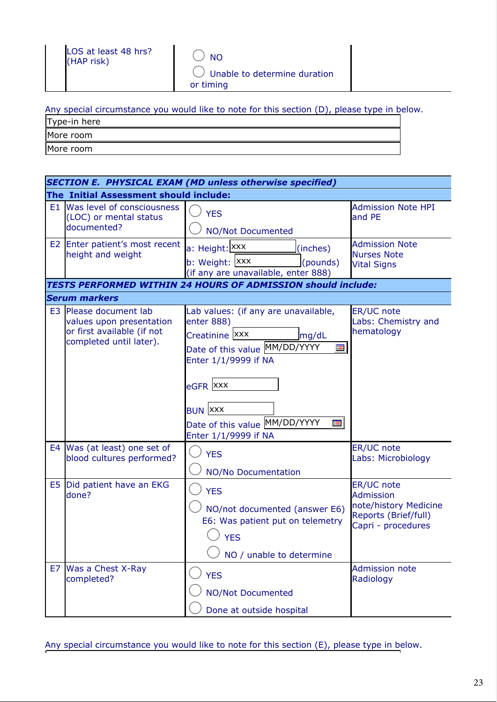|  |  | Any special circumstance you would like to note for this section (D), please type in below. |  |  |  |  |  |  |  |  |  |
|--|--|---------------------------------------------------------------------------------------------|--|--|--|--|--|--|--|--|--|
|--|--|---------------------------------------------------------------------------------------------|--|--|--|--|--|--|--|--|--|

| Type-in here |  |
|--------------|--|
| More room    |  |

More room

| <b>SECTION E. PHYSICAL EXAM (MD unless otherwise specified)</b> |                                                                                                          |                                                                                                                                                                                                                                                       |                                                                                                       |  |  |  |
|-----------------------------------------------------------------|----------------------------------------------------------------------------------------------------------|-------------------------------------------------------------------------------------------------------------------------------------------------------------------------------------------------------------------------------------------------------|-------------------------------------------------------------------------------------------------------|--|--|--|
|                                                                 | The Initial Assessment should include:                                                                   |                                                                                                                                                                                                                                                       |                                                                                                       |  |  |  |
| E1                                                              | Was level of consciousness<br>(LOC) or mental status<br>documented?                                      | <b>YES</b><br><b>NO/Not Documented</b>                                                                                                                                                                                                                | <b>Admission Note HPI</b><br>and PE                                                                   |  |  |  |
|                                                                 | E2 Enter patient's most recent<br>height and weight                                                      | a: Height: XXX<br>(inches)<br>b: Weight: XXX<br>(pounds)<br>(if any are unavailable, enter 888)                                                                                                                                                       | <b>Admission Note</b><br><b>Nurses Note</b><br><b>Vital Signs</b>                                     |  |  |  |
|                                                                 |                                                                                                          | <b>TESTS PERFORMED WITHIN 24 HOURS OF ADMISSION should include:</b>                                                                                                                                                                                   |                                                                                                       |  |  |  |
|                                                                 | <b>Serum markers</b>                                                                                     |                                                                                                                                                                                                                                                       |                                                                                                       |  |  |  |
| E <sub>3</sub>                                                  | Please document lab<br>values upon presentation<br>or first available (if not<br>completed until later). | Lab values: (if any are unavailable,<br>enter 888)<br>Creatinine Xxx<br>mg/dL<br>Date of this value MM/DD/YYYY<br>Ħ.<br>Enter 1/1/9999 if NA<br>eGFR XXX<br><b>BUN XXX</b><br>Date of this value MM/DD/YYYY<br>$\blacksquare$<br>Enter 1/1/9999 if NA | ER/UC note<br>Labs: Chemistry and<br>hematology                                                       |  |  |  |
|                                                                 | E4 Was (at least) one set of<br>blood cultures performed?                                                | <b>YES</b><br><b>NO/No Documentation</b>                                                                                                                                                                                                              | ER/UC note<br>Labs: Microbiology                                                                      |  |  |  |
|                                                                 | E5 Did patient have an EKG<br>done?                                                                      | <b>YES</b><br>NO/not documented (answer E6)<br>E6: Was patient put on telemetry<br><b>YES</b><br>NO / unable to determine                                                                                                                             | ER/UC note<br><b>Admission</b><br>note/history Medicine<br>Reports (Brief/full)<br>Capri - procedures |  |  |  |
| E7                                                              | Was a Chest X-Ray<br>completed?                                                                          | <b>YES</b><br><b>NO/Not Documented</b><br>Done at outside hospital                                                                                                                                                                                    | <b>Admission note</b><br>Radiology                                                                    |  |  |  |

Any special circumstance you would like to note for this section (E), please type in below.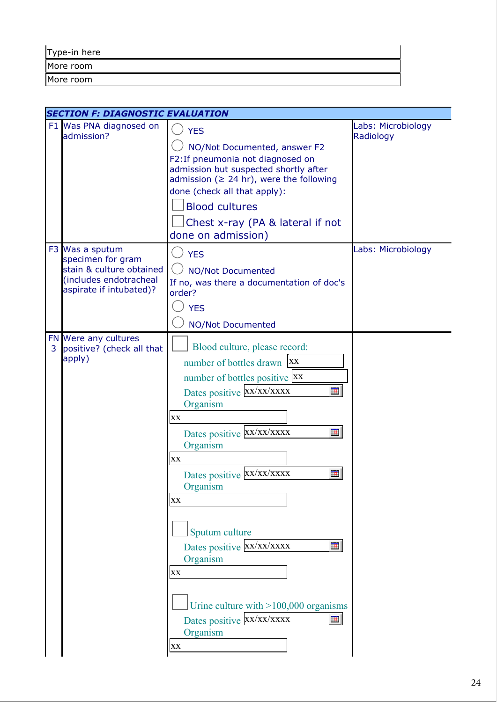| Type-in here |  |  |  |
|--------------|--|--|--|
| More room    |  |  |  |
| More room    |  |  |  |

|   | <b>SECTION F: DIAGNOSTIC EVALUATION</b>                                                                               |                                                                                                                                                                                                                                                                                                                                                                                                                                 |                                 |
|---|-----------------------------------------------------------------------------------------------------------------------|---------------------------------------------------------------------------------------------------------------------------------------------------------------------------------------------------------------------------------------------------------------------------------------------------------------------------------------------------------------------------------------------------------------------------------|---------------------------------|
|   | F1 Was PNA diagnosed on<br>admission?                                                                                 | <b>YES</b><br>NO/Not Documented, answer F2<br>F2: If pneumonia not diagnosed on<br>admission but suspected shortly after<br>admission ( $\geq$ 24 hr), were the following<br>done (check all that apply):<br><b>Blood cultures</b><br>Chest x-ray (PA & lateral if not<br>done on admission)                                                                                                                                    | Labs: Microbiology<br>Radiology |
|   | F3 Was a sputum<br>specimen for gram<br>stain & culture obtained<br>(includes endotracheal<br>aspirate if intubated)? | <b>YES</b><br><b>NO/Not Documented</b><br>If no, was there a documentation of doc's<br>order?<br><b>YES</b><br><b>NO/Not Documented</b>                                                                                                                                                                                                                                                                                         | Labs: Microbiology              |
| 3 | FN Were any cultures<br>positive? (check all that<br>apply)                                                           | Blood culture, please record:<br>number of bottles drawn   XX<br>number of bottles positive XX<br>Dates positive XX/XX/XXXX<br>Ħ<br>Organism<br>XX<br>Dates positive XX/XX/XXXX<br>⊞<br>Organism<br>XX<br>Dates positive XX/XX/XXXX<br>Ħ<br>Organism<br>XX<br>Sputum culture<br>Dates positive XX/XX/XXXX<br>Ħ<br>Organism<br>XX<br>Urine culture with $>100,000$ organisms<br>Dates positive XX/XX/XXXX<br>m<br>Organism<br>XX |                                 |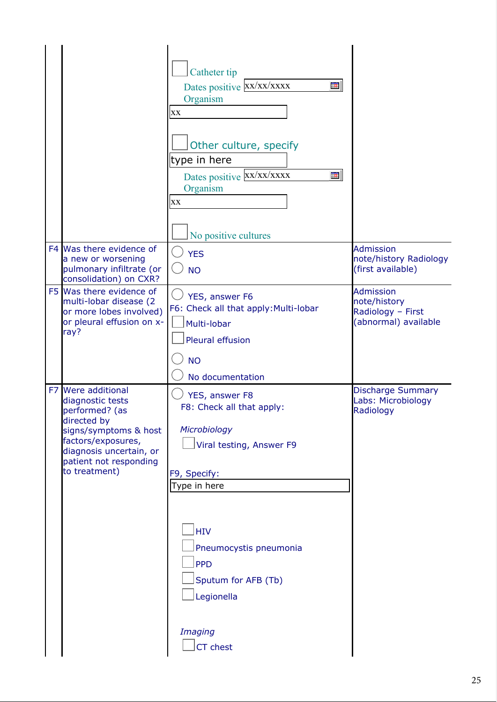|                                                                                                                                                                                                        | Catheter tip<br>Dates positive XX/XX/XXXX<br>Ħ<br>Organism<br>XX<br>Other culture, specify<br>type in here<br>Dates positive XX/XX/XXXX<br>囲<br>Organism<br>XX<br>No positive cultures                                                    |                                                                               |
|--------------------------------------------------------------------------------------------------------------------------------------------------------------------------------------------------------|-------------------------------------------------------------------------------------------------------------------------------------------------------------------------------------------------------------------------------------------|-------------------------------------------------------------------------------|
| F4 Was there evidence of<br>a new or worsening<br>pulmonary infiltrate (or<br>consolidation) on CXR?                                                                                                   | <b>YES</b><br><b>NO</b>                                                                                                                                                                                                                   | <b>Admission</b><br>note/history Radiology<br>(first available)               |
| F5 Was there evidence of<br>multi-lobar disease (2<br>or more lobes involved)<br>or pleural effusion on x-<br>ray?                                                                                     | YES, answer F6<br>F6: Check all that apply: Multi-lobar<br>Multi-lobar<br>Pleural effusion<br><b>NO</b><br>No documentation                                                                                                               | <b>Admission</b><br>note/history<br>Radiology - First<br>(abnormal) available |
| <b>Were additional</b><br>F7<br>diagnostic tests<br>performed? (as<br>directed by<br>signs/symptoms & host<br>factors/exposures,<br>diagnosis uncertain, or<br>patient not responding<br>to treatment) | YES, answer F8<br>F8: Check all that apply:<br>Microbiology<br>Viral testing, Answer F9<br>F9, Specify:<br>Type in here<br><b>HIV</b><br>Pneumocystis pneumonia<br><b>PPD</b><br>Sputum for AFB (Tb)<br>Legionella<br>Imaging<br>CT chest | <b>Discharge Summary</b><br>Labs: Microbiology<br>Radiology                   |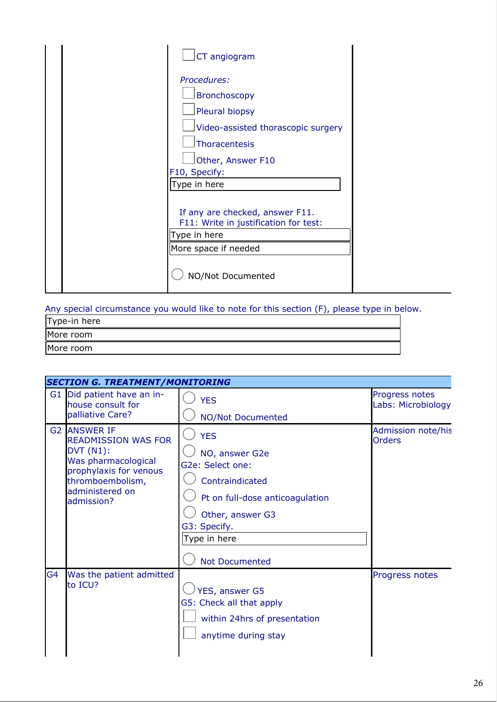|  | CT angiogram                                                             |
|--|--------------------------------------------------------------------------|
|  | Procedures:                                                              |
|  | <b>Bronchoscopy</b>                                                      |
|  | Pleural biopsy                                                           |
|  | Video-assisted thorascopic surgery                                       |
|  | Thoracentesis                                                            |
|  | Other, Answer F10                                                        |
|  | F10, Specify:                                                            |
|  | Type in here                                                             |
|  | If any are checked, answer F11.<br>F11: Write in justification for test: |
|  | Type in here                                                             |
|  | More space if needed                                                     |
|  | NO/Not Documented                                                        |

Any special circumstance you would like to note for this section (F), please type in below.

| Type-in here |  |
|--------------|--|
| More room    |  |
| More room    |  |

|                | <b>SECTION G. TREATMENT/MONITORING</b>                                                                                                                                       |                                                                                                                                                                                     |                                      |
|----------------|------------------------------------------------------------------------------------------------------------------------------------------------------------------------------|-------------------------------------------------------------------------------------------------------------------------------------------------------------------------------------|--------------------------------------|
|                | G1 Did patient have an in-<br>house consult for<br>palliative Care?                                                                                                          | <b>YES</b><br><b>NO/Not Documented</b>                                                                                                                                              | Progress notes<br>Labs: Microbiology |
|                | <b>G2 IANSWER IF</b><br><b>READMISSION WAS FOR</b><br><b>DVT (N1):</b><br>Was pharmacological<br>prophylaxis for venous<br>thromboembolism,<br>administered on<br>admission? | <b>YES</b><br>NO, answer G2e<br>G2e: Select one:<br>Contraindicated<br>Pt on full-dose anticoagulation<br>Other, answer G3<br>G3: Specify.<br>Type in here<br><b>Not Documented</b> | Admission note/his<br><b>Orders</b>  |
| G <sub>4</sub> | Was the patient admitted<br>to ICU?                                                                                                                                          | YES, answer G5<br>G5: Check all that apply<br>within 24hrs of presentation<br>anytime during stay                                                                                   | Progress notes                       |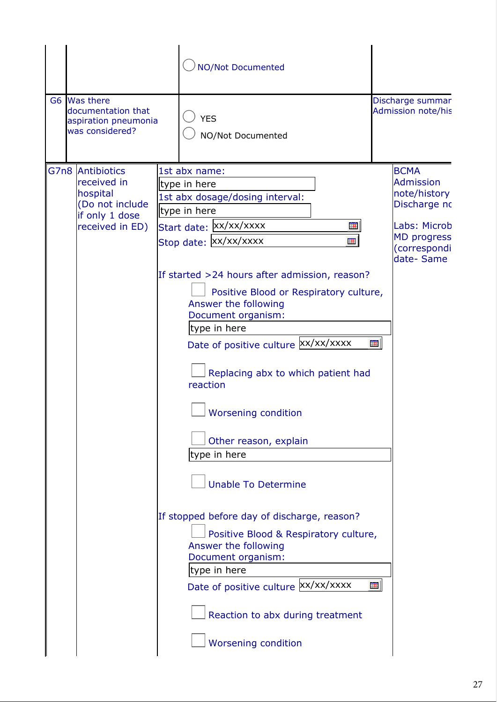|                                                                                                     | <b>NO/Not Documented</b>                                                                                                                                                                                                                                                                                                                                                                                                                                                                                                                                                                                                                                                                                                                                                          |        |                                                                                                                                    |
|-----------------------------------------------------------------------------------------------------|-----------------------------------------------------------------------------------------------------------------------------------------------------------------------------------------------------------------------------------------------------------------------------------------------------------------------------------------------------------------------------------------------------------------------------------------------------------------------------------------------------------------------------------------------------------------------------------------------------------------------------------------------------------------------------------------------------------------------------------------------------------------------------------|--------|------------------------------------------------------------------------------------------------------------------------------------|
| G6 Was there<br>documentation that<br>aspiration pneumonia<br>was considered?                       | <b>YES</b><br>NO/Not Documented                                                                                                                                                                                                                                                                                                                                                                                                                                                                                                                                                                                                                                                                                                                                                   |        | Discharge summar<br>Admission note/his                                                                                             |
| G7n8 Antibiotics<br>received in<br>hospital<br>(Do not include<br>if only 1 dose<br>received in ED) | 1st abx name:<br>type in here<br>1st abx dosage/dosing interval:<br>type in here<br>Start date:  xx/xx/xxxx<br>⊞<br>Stop date: XX/XX/XXXX<br>$\blacksquare$<br>If started >24 hours after admission, reason?<br>Positive Blood or Respiratory culture,<br>Answer the following<br>Document organism:<br>type in here<br>Date of positive culture xx/xx/xxxx<br>Replacing abx to which patient had<br>reaction<br><b>Worsening condition</b><br>Other reason, explain<br>type in here<br><b>Unable To Determine</b><br>If stopped before day of discharge, reason?<br>Positive Blood & Respiratory culture,<br>Answer the following<br>Document organism:<br>type in here<br>Date of positive culture XX/XX/XXXX<br>Reaction to abx during treatment<br><b>Worsening condition</b> | Ħ<br>Ħ | <b>BCMA</b><br><b>Admission</b><br>note/history<br>Discharge no<br>Labs: Microb<br><b>MD</b> progress<br>(correspondi<br>date-Same |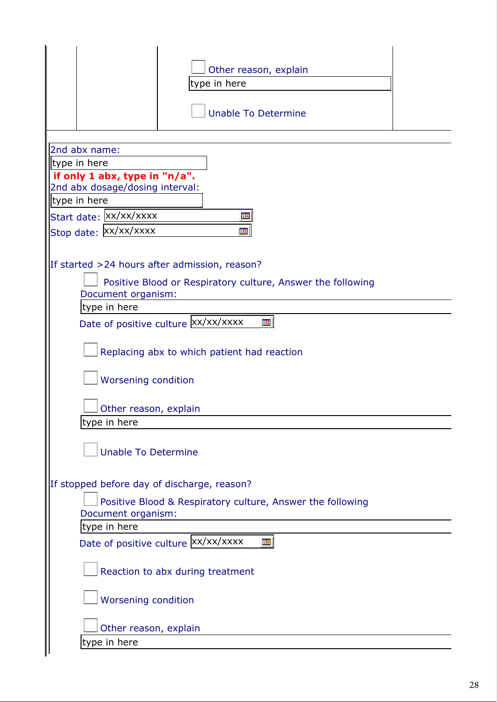| Other reason, explain<br>type in here                       |  |  |  |  |
|-------------------------------------------------------------|--|--|--|--|
| <b>Unable To Determine</b>                                  |  |  |  |  |
|                                                             |  |  |  |  |
| 2nd abx name:<br>type in here                               |  |  |  |  |
| if only 1 abx, type in "n/a".                               |  |  |  |  |
| 2nd abx dosage/dosing interval:                             |  |  |  |  |
| type in here                                                |  |  |  |  |
| Start date: XX/XX/XXXX<br>Ħ                                 |  |  |  |  |
| Stop date: XX/XX/XXXX<br>⊞                                  |  |  |  |  |
|                                                             |  |  |  |  |
| If started >24 hours after admission, reason?               |  |  |  |  |
| Positive Blood or Respiratory culture, Answer the following |  |  |  |  |
| Document organism:<br>type in here                          |  |  |  |  |
| Date of positive culture Xx/xx/xxxx<br>Ħ                    |  |  |  |  |
|                                                             |  |  |  |  |
| Replacing abx to which patient had reaction                 |  |  |  |  |
|                                                             |  |  |  |  |
| Worsening condition                                         |  |  |  |  |
| Other reason, explain                                       |  |  |  |  |
| type in here                                                |  |  |  |  |
|                                                             |  |  |  |  |
| <b>Unable To Determine</b>                                  |  |  |  |  |
|                                                             |  |  |  |  |
| If stopped before day of discharge, reason?                 |  |  |  |  |
| Positive Blood & Respiratory culture, Answer the following  |  |  |  |  |
| Document organism:                                          |  |  |  |  |
| type in here                                                |  |  |  |  |
| Date of positive culture xx/xx/xxxx<br>Ħ                    |  |  |  |  |
| Reaction to abx during treatment                            |  |  |  |  |
| <b>Worsening condition</b>                                  |  |  |  |  |
| Other reason, explain                                       |  |  |  |  |
| type in here                                                |  |  |  |  |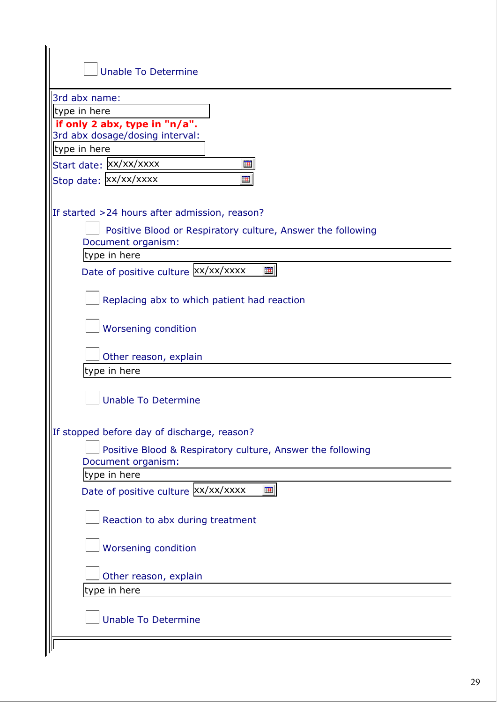| <b>Unable To Determine</b>                                       |
|------------------------------------------------------------------|
| 3rd abx name:                                                    |
| type in here                                                     |
| if only 2 abx, type in "n/a".<br>3rd abx dosage/dosing interval: |
| type in here                                                     |
| Start date: XX/XX/XXXX<br>亜                                      |
| Stop date: Xx/xx/xxxx<br>₩                                       |
|                                                                  |
| If started >24 hours after admission, reason?                    |
| Positive Blood or Respiratory culture, Answer the following      |
| Document organism:                                               |
| type in here                                                     |
| Date of positive culture xx/xx/xxxx<br>₩                         |
|                                                                  |
| Replacing abx to which patient had reaction                      |
|                                                                  |
| <b>Worsening condition</b>                                       |
| Other reason, explain                                            |
| type in here                                                     |
|                                                                  |
| <b>Unable To Determine</b>                                       |
|                                                                  |
| stopped before day of discharge, reason?                         |
| Positive Blood & Respiratory culture, Answer the following       |
| Document organism:                                               |
| type in here                                                     |
| Date of positive culture XX/XX/XXXX<br>⊞                         |
|                                                                  |
| Reaction to abx during treatment                                 |
| <b>Worsening condition</b>                                       |
|                                                                  |
| Other reason, explain                                            |
| type in here                                                     |
|                                                                  |
| <b>Unable To Determine</b>                                       |
|                                                                  |
|                                                                  |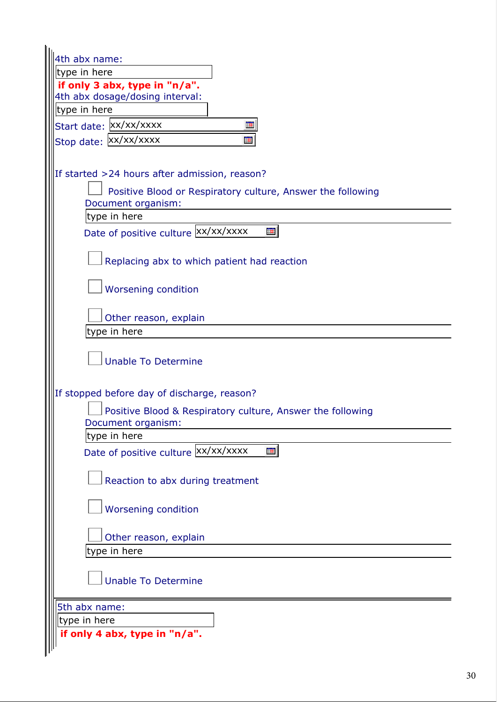| 4th abx name:<br>type in here                                                    |
|----------------------------------------------------------------------------------|
| if only 3 abx, type in "n/a".                                                    |
| 4th abx dosage/dosing interval:                                                  |
| type in here                                                                     |
| Start date: XX/XX/XXXX<br>Ħ                                                      |
| Stop date: XX/XX/XXXX<br>筆                                                       |
|                                                                                  |
| If started >24 hours after admission, reason?                                    |
| Positive Blood or Respiratory culture, Answer the following                      |
| Document organism:                                                               |
| type in here                                                                     |
| Date of positive culture xx/xx/xxxx<br>亜                                         |
| Replacing abx to which patient had reaction                                      |
|                                                                                  |
| Worsening condition                                                              |
|                                                                                  |
| Other reason, explain                                                            |
| type in here                                                                     |
| <b>Unable To Determine</b>                                                       |
| If stopped before day of discharge, reason?                                      |
| Positive Blood & Respiratory culture, Answer the following<br>Document organism: |
| type in here                                                                     |
| $\blacksquare$<br>Date of positive culture XX/XX/XXXX                            |
| Reaction to abx during treatment                                                 |
| Worsening condition                                                              |
| Other reason, explain                                                            |
| type in here                                                                     |
|                                                                                  |
| <b>Unable To Determine</b>                                                       |
| 5th abx name:                                                                    |
| type in here                                                                     |
| if only 4 abx, type in "n/a".                                                    |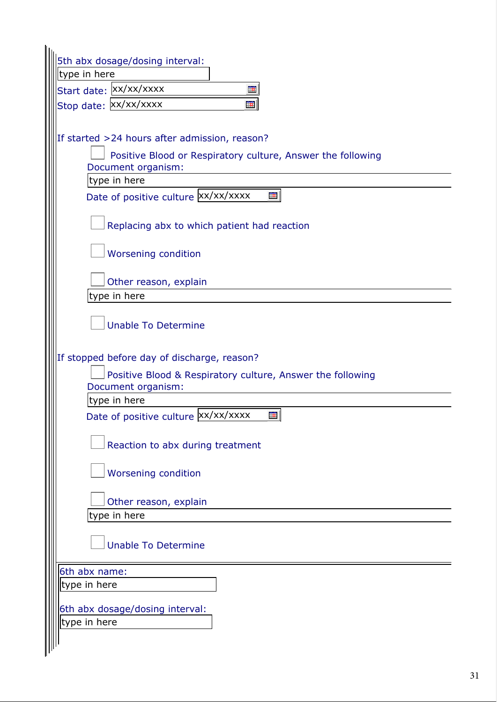| 5th abx dosage/dosing interval:                             |
|-------------------------------------------------------------|
| type in here                                                |
| Start date: Xx/xx/xxxx<br>Ħ                                 |
| Stop date: XX/XX/XXXX<br>亜                                  |
|                                                             |
| If started >24 hours after admission, reason?               |
| Positive Blood or Respiratory culture, Answer the following |
| Document organism:                                          |
| type in here                                                |
| Date of positive culture xx/xx/xxxx<br>⊞                    |
|                                                             |
| Replacing abx to which patient had reaction                 |
| <b>Worsening condition</b>                                  |
|                                                             |
| Other reason, explain                                       |
| type in here                                                |
|                                                             |
| <b>Unable To Determine</b>                                  |
|                                                             |
| If stopped before day of discharge, reason?                 |
| Positive Blood & Respiratory culture, Answer the following  |
| Document organism:                                          |
| type in here                                                |
| Date of positive culture XX/XX/XXXX<br>$\blacksquare$       |
|                                                             |
| Reaction to abx during treatment                            |
| <b>Worsening condition</b>                                  |
|                                                             |
| Other reason, explain                                       |
| type in here                                                |
|                                                             |
| <b>Unable To Determine</b>                                  |
| 6th abx name:                                               |
| type in here                                                |
|                                                             |
| 6th abx dosage/dosing interval:                             |
| type in here                                                |
|                                                             |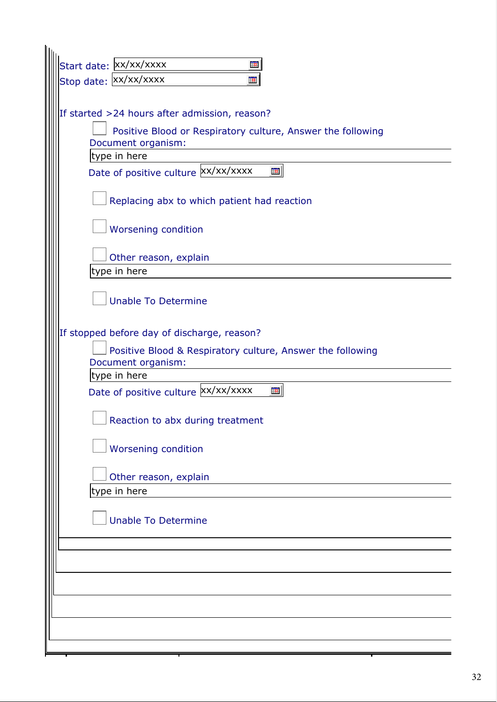| Start date: XX/XX/XXXX<br>Ħ                                                       |
|-----------------------------------------------------------------------------------|
| Stop date: XX/XX/XXXX<br>筆                                                        |
|                                                                                   |
| If started >24 hours after admission, reason?                                     |
| Positive Blood or Respiratory culture, Answer the following<br>Document organism: |
| type in here                                                                      |
| Date of positive culture xx/xx/xxxx<br>囲                                          |
| Replacing abx to which patient had reaction                                       |
| Worsening condition                                                               |
| Other reason, explain                                                             |
| type in here                                                                      |
| <b>Unable To Determine</b>                                                        |
| If stopped before day of discharge, reason?                                       |
| Positive Blood & Respiratory culture, Answer the following<br>Document organism:  |
| type in here                                                                      |
| Date of positive culture xx/xx/xxxx<br>筆                                          |
| $\Box$ Reaction to abx during treatment                                           |
| <b>Worsening condition</b>                                                        |
| Other reason, explain                                                             |
| type in here                                                                      |
| <b>Unable To Determine</b>                                                        |
|                                                                                   |
|                                                                                   |
|                                                                                   |
|                                                                                   |
|                                                                                   |
|                                                                                   |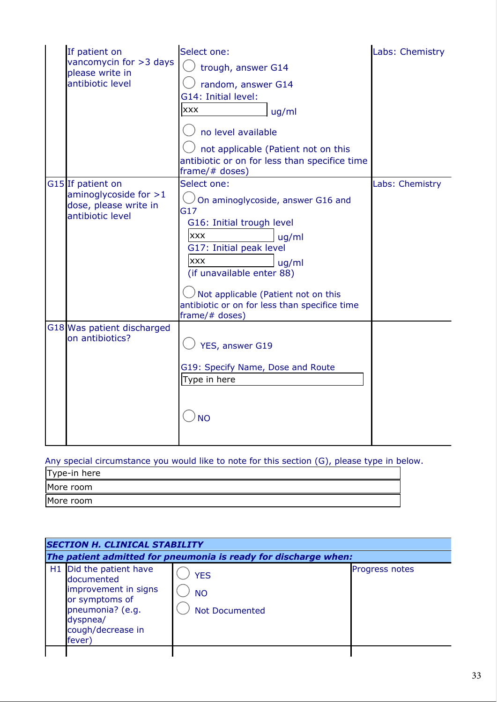| If patient on<br>vancomycin for >3 days<br>please write in<br>antibiotic level            | Select one:<br>trough, answer G14<br>random, answer G14<br>G14: Initial level:<br><b>XXX</b><br>uq/ml<br>no level available<br>not applicable (Patient not on this<br>antibiotic or on for less than specifice time<br>frame/# doses)                                                                | Labs: Chemistry |
|-------------------------------------------------------------------------------------------|------------------------------------------------------------------------------------------------------------------------------------------------------------------------------------------------------------------------------------------------------------------------------------------------------|-----------------|
| G15 If patient on<br>aminoglycoside for $>1$<br>dose, please write in<br>antibiotic level | Select one:<br>On aminoglycoside, answer G16 and<br>G17<br>G16: Initial trough level<br><b>XXX</b><br>uq/ml<br>G17: Initial peak level<br><b>XXX</b><br>uq/ml<br>(if unavailable enter 88)<br>Not applicable (Patient not on this<br>antibiotic or on for less than specifice time<br>frame/# doses) | Labs: Chemistry |
| G18 Was patient discharged<br>on antibiotics?                                             | YES, answer G19<br>G19: Specify Name, Dose and Route<br>Type in here<br><b>NO</b>                                                                                                                                                                                                                    |                 |

# Any special circumstance you would like to note for this section (G), please type in below.

| Type-in here |
|--------------|
| More room    |
| More room    |

| <b>SECTION H. CLINICAL STABILITY</b>                                                                                                                       |                                                                 |                       |  |  |
|------------------------------------------------------------------------------------------------------------------------------------------------------------|-----------------------------------------------------------------|-----------------------|--|--|
|                                                                                                                                                            | The patient admitted for pneumonia is ready for discharge when: |                       |  |  |
| H <sub>1</sub> Did the patient have<br>documented<br>improvement in signs<br>or symptoms of<br>pneumonia? (e.g.<br>dyspnea/<br>cough/decrease in<br>fever) | <b>YES</b><br><b>NO</b><br>Not Documented                       | <b>Progress notes</b> |  |  |
|                                                                                                                                                            |                                                                 |                       |  |  |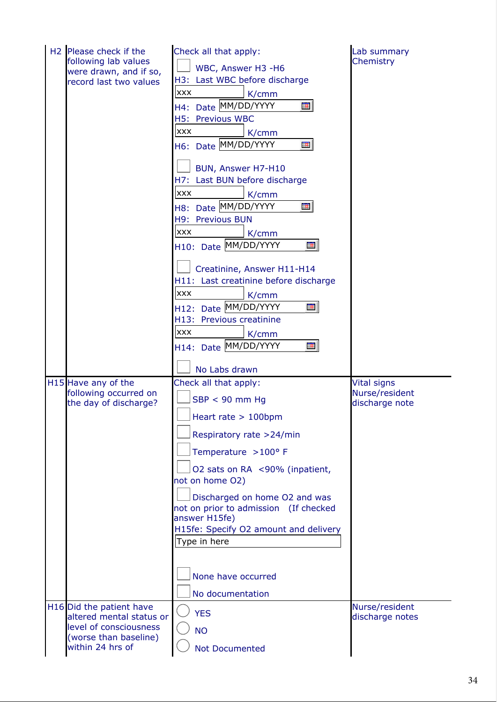| H <sub>2</sub> Please check if the<br>following lab values<br>were drawn, and if so,<br>record last two values              | Check all that apply:<br>WBC, Answer H3 -H6<br>H3: Last WBC before discharge<br><b>XXX</b><br>K/cmm<br>H4: Date MM/DD/YYYY<br>⊞<br>H5: Previous WBC<br><b>XXX</b><br>K/cmm<br>H6: Date MM/DD/YYYY<br>囲<br>BUN, Answer H7-H10<br>H7: Last BUN before discharge<br><b>XXX</b><br>K/cmm<br>H8: Date MM/DD/YYYY<br>$\blacksquare$<br>H9: Previous BUN<br><b>XXX</b><br>K/cmm<br>H10: Date MM/DD/YYYY<br>$\blacksquare$<br>Creatinine, Answer H11-H14<br>H11: Last creatinine before discharge<br><b>XXX</b><br>K/cmm<br>H12: Date MM/DD/YYYY<br>亜<br>H13: Previous creatinine<br><b>XXX</b><br>K/cmm<br>H14: Date MM/DD/YYYY<br>亜<br>No Labs drawn | Lab summary<br>Chemistry                               |
|-----------------------------------------------------------------------------------------------------------------------------|------------------------------------------------------------------------------------------------------------------------------------------------------------------------------------------------------------------------------------------------------------------------------------------------------------------------------------------------------------------------------------------------------------------------------------------------------------------------------------------------------------------------------------------------------------------------------------------------------------------------------------------------|--------------------------------------------------------|
| H15 Have any of the<br>following occurred on<br>the day of discharge?                                                       | Check all that apply:<br>$SBP < 90$ mm Hg<br>$\vert$ Heart rate > 100bpm<br>Respiratory rate >24/min<br>Temperature >100° F<br>O2 sats on RA <90% (inpatient,<br>not on home O2)<br>Discharged on home O2 and was<br>not on prior to admission (If checked<br>answer H15fe)<br>H15fe: Specify O2 amount and delivery<br>Type in here<br>None have occurred<br>No documentation                                                                                                                                                                                                                                                                 | <b>Vital signs</b><br>Nurse/resident<br>discharge note |
| H16 Did the patient have<br>altered mental status or<br>level of consciousness<br>(worse than baseline)<br>within 24 hrs of | <b>YES</b><br><b>NO</b><br><b>Not Documented</b>                                                                                                                                                                                                                                                                                                                                                                                                                                                                                                                                                                                               | Nurse/resident<br>discharge notes                      |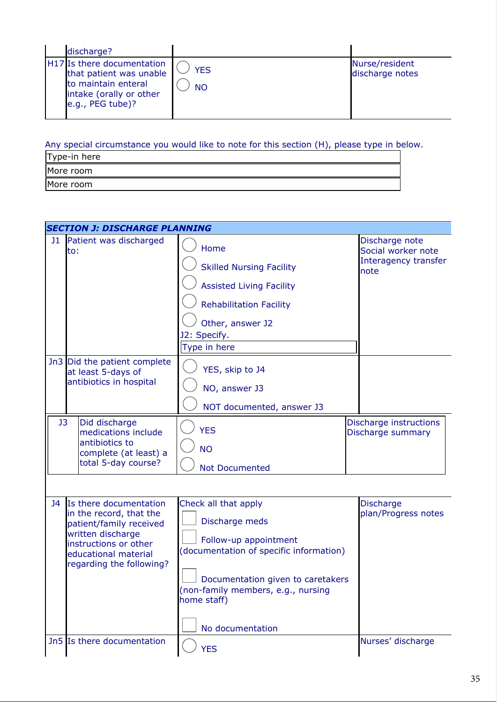| discharge?                                                                                                                  |                         |                                   |
|-----------------------------------------------------------------------------------------------------------------------------|-------------------------|-----------------------------------|
| H17 Is there documentation<br>that patient was unable<br>to maintain enteral<br>intake (orally or other<br>e.g., PEG tube)? | <b>YES</b><br><b>NO</b> | Nurse/resident<br>discharge notes |

Any special circumstance you would like to note for this section (H), please type in below.

| Type-in here |
|--------------|
| More room    |
| More room    |

|    | <b>SECTION J: DISCHARGE PLANNING</b>                                                                                                                                           |                                                                                                                                                                                                                          |                                                                      |  |  |
|----|--------------------------------------------------------------------------------------------------------------------------------------------------------------------------------|--------------------------------------------------------------------------------------------------------------------------------------------------------------------------------------------------------------------------|----------------------------------------------------------------------|--|--|
|    | <b>J1</b> Patient was discharged<br>to:                                                                                                                                        | Home<br><b>Skilled Nursing Facility</b><br><b>Assisted Living Facility</b><br><b>Rehabilitation Facility</b><br>Other, answer J2<br>J2: Specify.<br>Type in here                                                         | Discharge note<br>Social worker note<br>Interagency transfer<br>note |  |  |
|    | Jn3 Did the patient complete<br>at least 5-days of<br>antibiotics in hospital                                                                                                  | YES, skip to J4<br>NO, answer J3<br>NOT documented, answer J3                                                                                                                                                            |                                                                      |  |  |
| J3 | Did discharge<br>medications include<br>antibiotics to<br>complete (at least) a<br>total 5-day course?                                                                         | <b>YES</b><br><b>NO</b><br><b>Not Documented</b>                                                                                                                                                                         | Discharge instructions<br>Discharge summary                          |  |  |
| J4 | Is there documentation<br>in the record, that the<br>patient/family received<br>written discharge<br>instructions or other<br>educational material<br>regarding the following? | Check all that apply<br>Discharge meds<br>Follow-up appointment<br>(documentation of specific information)<br>Documentation given to caretakers<br>(non-family members, e.g., nursing<br>home staff)<br>No documentation | <b>Discharge</b><br>plan/Progress notes                              |  |  |
|    | Jn5 Is there documentation                                                                                                                                                     | <b>YES</b>                                                                                                                                                                                                               | Nurses' discharge                                                    |  |  |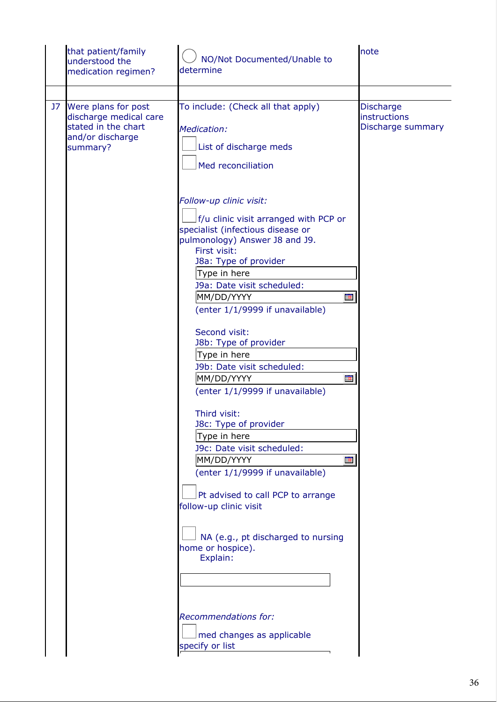| that patient/family<br>understood the<br>medication regimen?                                            | NO/Not Documented/Unable to<br>determine                                                                                                                                                                                                                                                                                                                                                                                                                                                                                                                                                                                                                                                                                                                                                                      | note                                                  |
|---------------------------------------------------------------------------------------------------------|---------------------------------------------------------------------------------------------------------------------------------------------------------------------------------------------------------------------------------------------------------------------------------------------------------------------------------------------------------------------------------------------------------------------------------------------------------------------------------------------------------------------------------------------------------------------------------------------------------------------------------------------------------------------------------------------------------------------------------------------------------------------------------------------------------------|-------------------------------------------------------|
|                                                                                                         |                                                                                                                                                                                                                                                                                                                                                                                                                                                                                                                                                                                                                                                                                                                                                                                                               |                                                       |
| J7 Were plans for post<br>discharge medical care<br>stated in the chart<br>and/or discharge<br>summary? | To include: (Check all that apply)<br>Medication:<br>List of discharge meds<br>Med reconciliation                                                                                                                                                                                                                                                                                                                                                                                                                                                                                                                                                                                                                                                                                                             | <b>Discharge</b><br>instructions<br>Discharge summary |
|                                                                                                         | Follow-up clinic visit:<br>f/u clinic visit arranged with PCP or<br>specialist (infectious disease or<br>pulmonology) Answer J8 and J9.<br>First visit:<br>J8a: Type of provider<br>Type in here<br>J9a: Date visit scheduled:<br>MM/DD/YYYY<br><b>THE</b><br>(enter 1/1/9999 if unavailable)<br>Second visit:<br>J8b: Type of provider<br>Type in here<br>J9b: Date visit scheduled:<br>MM/DD/YYYY<br>Ħ<br>(enter 1/1/9999 if unavailable)<br>Third visit:<br>J8c: Type of provider<br>Type in here<br>J9c: Date visit scheduled:<br>MM/DD/YYYY<br>Ħ<br>(enter 1/1/9999 if unavailable)<br>Pt advised to call PCP to arrange<br>follow-up clinic visit<br>NA (e.g., pt discharged to nursing<br>home or hospice).<br>Explain:<br><b>Recommendations for:</b><br>med changes as applicable<br>specify or list |                                                       |
|                                                                                                         |                                                                                                                                                                                                                                                                                                                                                                                                                                                                                                                                                                                                                                                                                                                                                                                                               |                                                       |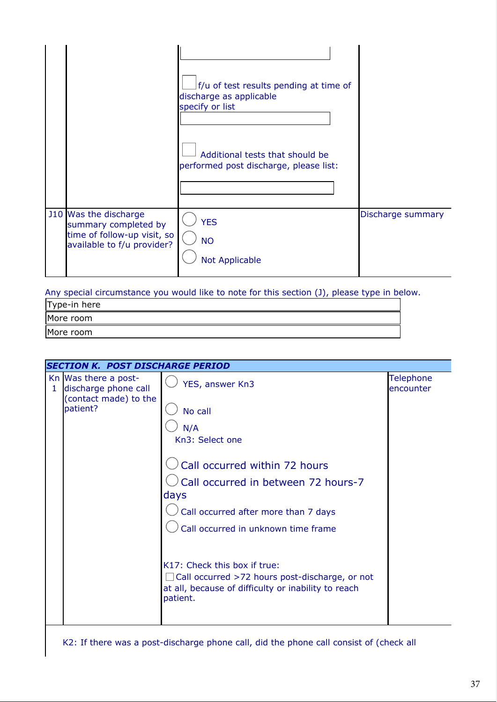|                                                                                                            | f/u of test results pending at time of<br>discharge as applicable<br>specify or list<br>Additional tests that should be<br>performed post discharge, please list: |                   |
|------------------------------------------------------------------------------------------------------------|-------------------------------------------------------------------------------------------------------------------------------------------------------------------|-------------------|
| J10 Was the discharge<br>summary completed by<br>time of follow-up visit, so<br>available to f/u provider? | <b>YES</b><br><b>NO</b><br><b>Not Applicable</b>                                                                                                                  | Discharge summary |

Any special circumstance you would like to note for this section (J), please type in below.

| Type-in here |  |
|--------------|--|
| More room    |  |
| More room    |  |

|   | <b>SECTION K. POST DISCHARGE PERIOD</b>      |                                                                                                                                                          |                               |  |  |
|---|----------------------------------------------|----------------------------------------------------------------------------------------------------------------------------------------------------------|-------------------------------|--|--|
| 1 | Kn Was there a post-<br>discharge phone call | YES, answer Kn3                                                                                                                                          | <b>Telephone</b><br>encounter |  |  |
|   | (contact made) to the<br>patient?            | No call                                                                                                                                                  |                               |  |  |
|   |                                              | N/A                                                                                                                                                      |                               |  |  |
|   |                                              | Kn3: Select one                                                                                                                                          |                               |  |  |
|   |                                              | Call occurred within 72 hours                                                                                                                            |                               |  |  |
|   |                                              | Call occurred in between 72 hours-7<br>days                                                                                                              |                               |  |  |
|   |                                              | Call occurred after more than 7 days                                                                                                                     |                               |  |  |
|   |                                              | Call occurred in unknown time frame                                                                                                                      |                               |  |  |
|   |                                              | K17: Check this box if true:<br>$\Box$ Call occurred >72 hours post-discharge, or not<br>at all, because of difficulty or inability to reach<br>patient. |                               |  |  |

K2: If there was a post-discharge phone call, did the phone call consist of (check all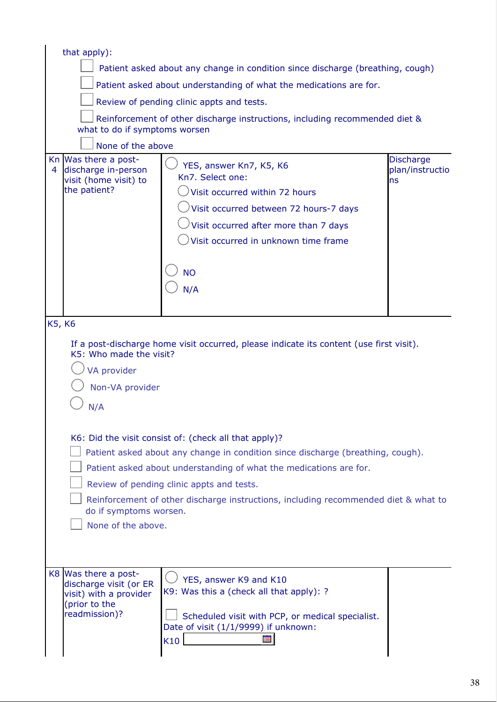| that apply):                                                                                               |                                                                                                                                                                                                                                                                                                                                                    |                                           |  |
|------------------------------------------------------------------------------------------------------------|----------------------------------------------------------------------------------------------------------------------------------------------------------------------------------------------------------------------------------------------------------------------------------------------------------------------------------------------------|-------------------------------------------|--|
| Patient asked about any change in condition since discharge (breathing, cough)                             |                                                                                                                                                                                                                                                                                                                                                    |                                           |  |
|                                                                                                            | Patient asked about understanding of what the medications are for.                                                                                                                                                                                                                                                                                 |                                           |  |
|                                                                                                            | Review of pending clinic appts and tests.                                                                                                                                                                                                                                                                                                          |                                           |  |
| what to do if symptoms worsen                                                                              | Reinforcement of other discharge instructions, including recommended diet &                                                                                                                                                                                                                                                                        |                                           |  |
| None of the above                                                                                          |                                                                                                                                                                                                                                                                                                                                                    |                                           |  |
| Kn Was there a post-<br>discharge in-person<br>4<br>visit (home visit) to<br>the patient?                  | YES, answer Kn7, K5, K6<br>Kn7. Select one:<br>Visit occurred within 72 hours<br>Visit occurred between 72 hours-7 days<br>Visit occurred after more than 7 days<br>Visit occurred in unknown time frame<br><b>NO</b><br>N/A                                                                                                                       | <b>Discharge</b><br>plan/instructio<br>ns |  |
|                                                                                                            |                                                                                                                                                                                                                                                                                                                                                    |                                           |  |
| K5, K6                                                                                                     |                                                                                                                                                                                                                                                                                                                                                    |                                           |  |
| K5: Who made the visit?<br>VA provider<br>Non-VA provider<br>N/A                                           | If a post-discharge home visit occurred, please indicate its content (use first visit).                                                                                                                                                                                                                                                            |                                           |  |
| do if symptoms worsen.<br>None of the above.                                                               | K6: Did the visit consist of: (check all that apply)?<br>Patient asked about any change in condition since discharge (breathing, cough).<br>Patient asked about understanding of what the medications are for.<br>Review of pending clinic appts and tests.<br>Reinforcement of other discharge instructions, including recommended diet & what to |                                           |  |
|                                                                                                            |                                                                                                                                                                                                                                                                                                                                                    |                                           |  |
| K8 Was there a post-<br>discharge visit (or ER<br>visit) with a provider<br>(prior to the<br>readmission)? | YES, answer K9 and K10<br>K9: Was this a (check all that apply): ?<br>Scheduled visit with PCP, or medical specialist.<br>Date of visit (1/1/9999) if unknown:<br>Ħ<br>K10                                                                                                                                                                         |                                           |  |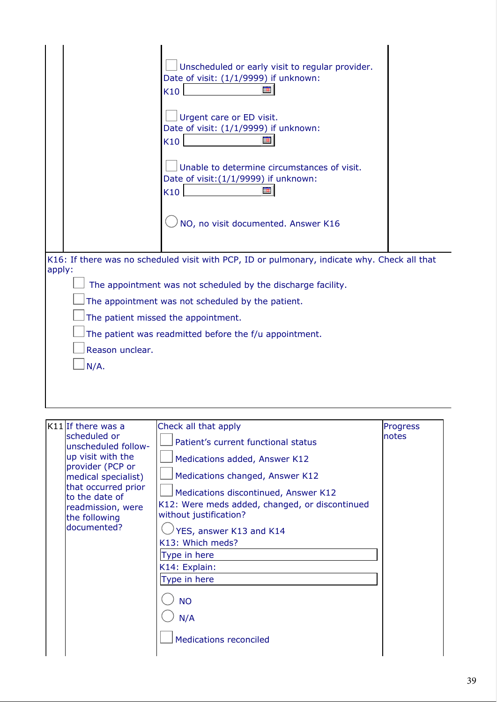|                                      | Unscheduled or early visit to regular provider.<br>Date of visit: (1/1/9999) if unknown:<br>K10<br>Urgent care or ED visit.<br>Date of visit: (1/1/9999) if unknown:<br><b>THE</b><br>K10<br>Unable to determine circumstances of visit.<br>Date of visit: (1/1/9999) if unknown:<br>K10<br>Ħ<br>NO, no visit documented. Answer K16 |                          |
|--------------------------------------|--------------------------------------------------------------------------------------------------------------------------------------------------------------------------------------------------------------------------------------------------------------------------------------------------------------------------------------|--------------------------|
| apply:                               | K16: If there was no scheduled visit with PCP, ID or pulmonary, indicate why. Check all that<br>The appointment was not scheduled by the discharge facility.                                                                                                                                                                         |                          |
|                                      | The appointment was not scheduled by the patient.                                                                                                                                                                                                                                                                                    |                          |
|                                      | The patient missed the appointment.                                                                                                                                                                                                                                                                                                  |                          |
|                                      | The patient was readmitted before the f/u appointment.                                                                                                                                                                                                                                                                               |                          |
| Reason unclear.<br>$N/A$ .           |                                                                                                                                                                                                                                                                                                                                      |                          |
|                                      |                                                                                                                                                                                                                                                                                                                                      |                          |
|                                      |                                                                                                                                                                                                                                                                                                                                      |                          |
|                                      |                                                                                                                                                                                                                                                                                                                                      |                          |
| $K11$ If there was a<br>scheduled or | Check all that apply                                                                                                                                                                                                                                                                                                                 | <b>Progress</b><br>notes |
| unscheduled follow-                  | Patient's current functional status                                                                                                                                                                                                                                                                                                  |                          |

| scheduled or<br>unscheduled follow-<br>up visit with the<br>provider (PCP or<br>medical specialist)<br>that occurred prior<br>to the date of<br>readmission, were<br>the following<br>documented? | Patient's current functional status<br>Medications added, Answer K12<br>Medications changed, Answer K12<br>Medications discontinued, Answer K12<br>K12: Were meds added, changed, or discontinued<br>without justification?<br>YES, answer K13 and K14<br>K13: Which meds?<br>Type in here<br>K14: Explain:<br>Type in here<br><b>NO</b><br>N/A | notes |
|---------------------------------------------------------------------------------------------------------------------------------------------------------------------------------------------------|-------------------------------------------------------------------------------------------------------------------------------------------------------------------------------------------------------------------------------------------------------------------------------------------------------------------------------------------------|-------|
|                                                                                                                                                                                                   | <b>Medications reconciled</b>                                                                                                                                                                                                                                                                                                                   |       |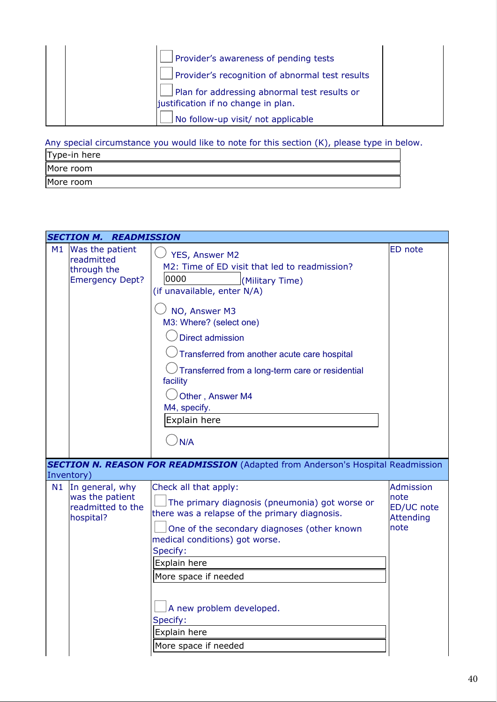| Provider's awareness of pending tests                                               |  |
|-------------------------------------------------------------------------------------|--|
| Provider's recognition of abnormal test results                                     |  |
| Plan for addressing abnormal test results or<br>justification if no change in plan. |  |
| No follow-up visit/ not applicable                                                  |  |

Any special circumstance you would like to note for this section (K), please type in below.

| Type-in here |  |
|--------------|--|
| More room    |  |
| More room    |  |

|    | <b>SECTION M. READMISSION</b>                                                      |                                                                                                                                                                                                                                                                                                                                                                             |                                                                    |
|----|------------------------------------------------------------------------------------|-----------------------------------------------------------------------------------------------------------------------------------------------------------------------------------------------------------------------------------------------------------------------------------------------------------------------------------------------------------------------------|--------------------------------------------------------------------|
| M1 | Was the patient<br>readmitted<br>through the<br><b>Emergency Dept?</b>             | YES, Answer M2<br>M2: Time of ED visit that led to readmission?<br>0000<br>(Military Time)<br>(if unavailable, enter N/A)<br>NO, Answer M3<br>M3: Where? (select one)<br><b>Direct admission</b><br>Transferred from another acute care hospital<br>Transferred from a long-term care or residential<br>facility<br>Other, Answer M4<br>M4, specify.<br>Explain here<br>N/A | <b>ED</b> note                                                     |
|    |                                                                                    | <b>SECTION N. REASON FOR READMISSION</b> (Adapted from Anderson's Hospital Readmission                                                                                                                                                                                                                                                                                      |                                                                    |
| N1 | Inventory)<br>In general, why<br>was the patient<br>readmitted to the<br>hospital? | Check all that apply:<br>The primary diagnosis (pneumonia) got worse or<br>there was a relapse of the primary diagnosis.<br>One of the secondary diagnoses (other known<br>medical conditions) got worse.<br>Specify:<br>Explain here<br>More space if needed<br>A new problem developed.<br>Specify:<br>Explain here<br>More space if needed                               | <b>Admission</b><br>note<br>ED/UC note<br><b>Attending</b><br>note |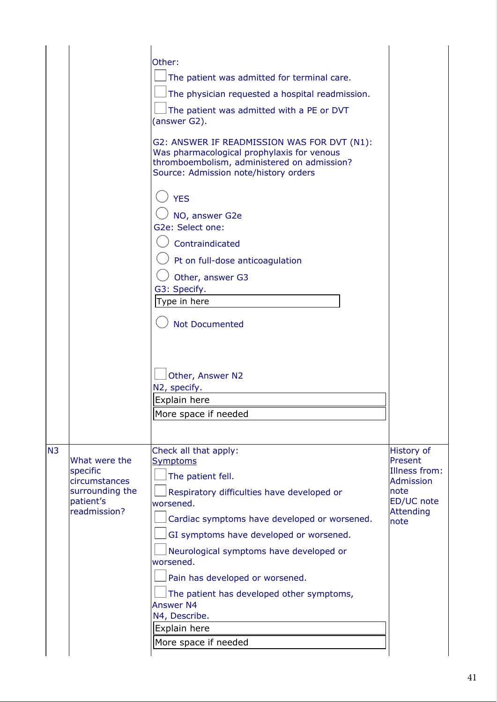|                                                              | Other:<br>The patient was admitted for terminal care.<br>The physician requested a hospital readmission.<br>The patient was admitted with a PE or DVT<br>(answer G2).<br>G2: ANSWER IF READMISSION WAS FOR DVT (N1):<br>Was pharmacological prophylaxis for venous<br>thromboembolism, administered on admission?<br>Source: Admission note/history orders<br><b>YES</b><br>NO, answer G2e<br>G2e: Select one:<br>Contraindicated<br>Pt on full-dose anticoagulation<br>Other, answer G3<br>G3: Specify.<br>Type in here<br><b>Not Documented</b><br>Other, Answer N2<br>N2, specify.<br>Explain here |                                                                   |
|--------------------------------------------------------------|-------------------------------------------------------------------------------------------------------------------------------------------------------------------------------------------------------------------------------------------------------------------------------------------------------------------------------------------------------------------------------------------------------------------------------------------------------------------------------------------------------------------------------------------------------------------------------------------------------|-------------------------------------------------------------------|
|                                                              | More space if needed                                                                                                                                                                                                                                                                                                                                                                                                                                                                                                                                                                                  |                                                                   |
| N <sub>3</sub><br>What were the<br>specific<br>circumstances | Check all that apply:<br><b>Symptoms</b><br>The patient fell.                                                                                                                                                                                                                                                                                                                                                                                                                                                                                                                                         | <b>History of</b><br>Present<br>Illness from:<br><b>Admission</b> |
| surrounding the<br>patient's<br>readmission?                 | Respiratory difficulties have developed or<br>worsened.<br>Cardiac symptoms have developed or worsened.<br>GI symptoms have developed or worsened.<br>Neurological symptoms have developed or<br>worsened.<br>Pain has developed or worsened.<br>The patient has developed other symptoms,<br><b>Answer N4</b><br>N4, Describe.                                                                                                                                                                                                                                                                       | note<br>ED/UC note<br><b>Attending</b><br>note                    |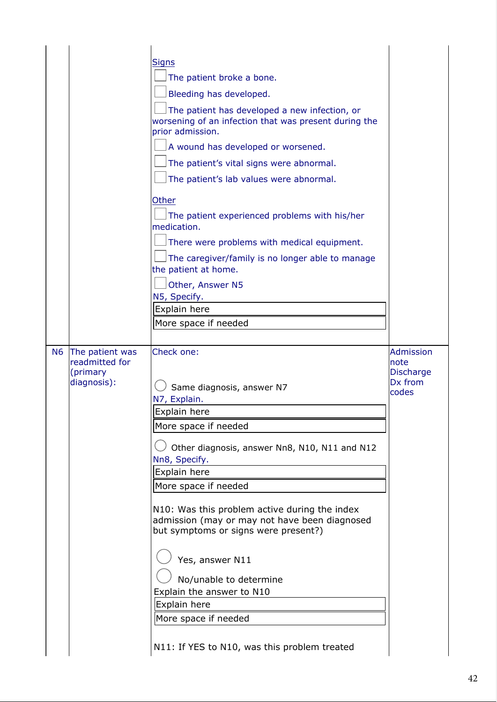|    |                                                              | <b>Signs</b><br>The patient broke a bone.<br>Bleeding has developed.<br>The patient has developed a new infection, or<br>worsening of an infection that was present during the<br>prior admission.<br>A wound has developed or worsened.<br>The patient's vital signs were abnormal.<br>The patient's lab values were abnormal.<br>Other<br>The patient experienced problems with his/her<br>medication.<br>There were problems with medical equipment.<br>The caregiver/family is no longer able to manage<br>the patient at home. |                                                                   |
|----|--------------------------------------------------------------|-------------------------------------------------------------------------------------------------------------------------------------------------------------------------------------------------------------------------------------------------------------------------------------------------------------------------------------------------------------------------------------------------------------------------------------------------------------------------------------------------------------------------------------|-------------------------------------------------------------------|
| N6 | The patient was<br>readmitted for<br>(primary<br>diagnosis): | Other, Answer N5<br>N5, Specify.<br>Explain here<br>More space if needed<br>Check one:<br>Same diagnosis, answer N7<br>N7, Explain.<br>Explain here<br>More space if needed<br>Other diagnosis, answer Nn8, N10, N11 and N12<br>Nn8, Specify.<br>Explain here<br>More space if needed<br>N10: Was this problem active during the index<br>admission (may or may not have been diagnosed<br>but symptoms or signs were present?)<br>Yes, answer N11<br>No/unable to determine<br>Explain the answer to N10<br>Explain here           | <b>Admission</b><br>Inote<br><b>Discharge</b><br>Dx from<br>codes |
|    |                                                              | More space if needed<br>N11: If YES to N10, was this problem treated                                                                                                                                                                                                                                                                                                                                                                                                                                                                |                                                                   |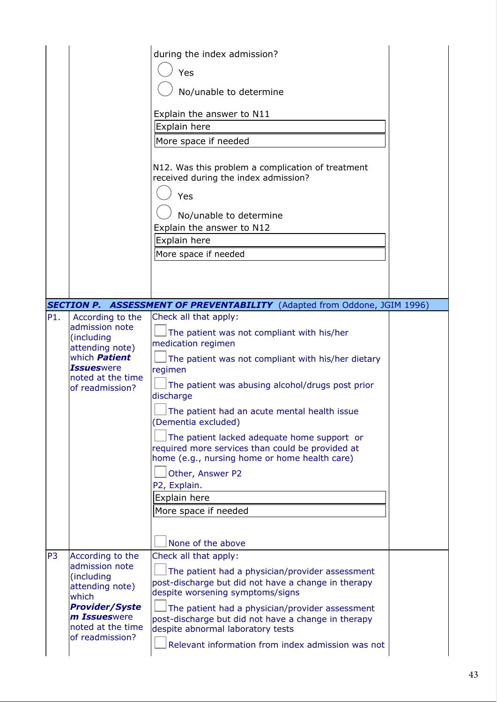|                |                                                                                                                                                               | during the index admission?<br>Yes<br>No/unable to determine<br>Explain the answer to N11<br>Explain here<br>More space if needed<br>N12. Was this problem a complication of treatment<br>received during the index admission?<br>Yes<br>No/unable to determine<br>Explain the answer to N12<br>Explain here<br>More space if needed                                                                                                                                                                                               |  |
|----------------|---------------------------------------------------------------------------------------------------------------------------------------------------------------|------------------------------------------------------------------------------------------------------------------------------------------------------------------------------------------------------------------------------------------------------------------------------------------------------------------------------------------------------------------------------------------------------------------------------------------------------------------------------------------------------------------------------------|--|
|                |                                                                                                                                                               | <b>SECTION P. ASSESSMENT OF PREVENTABILITY</b> (Adapted from Oddone, JGIM 1996)                                                                                                                                                                                                                                                                                                                                                                                                                                                    |  |
| P1.            | According to the<br>admission note<br>(including<br>attending note)<br>which <b>Patient</b><br><b>Issueswere</b><br>noted at the time<br>of readmission?      | Check all that apply:<br>The patient was not compliant with his/her<br>medication regimen<br>The patient was not compliant with his/her dietary<br>regimen<br>The patient was abusing alcohol/drugs post prior<br>discharge<br>The patient had an acute mental health issue<br>(Dementia excluded)<br>The patient lacked adequate home support or<br>required more services than could be provided at<br>home (e.g., nursing home or home health care)<br>Other, Answer P2<br>P2, Explain.<br>Explain here<br>More space if needed |  |
| P <sub>3</sub> | According to the<br>admission note<br>(including<br>attending note)<br>which<br><b>Provider/Syste</b><br>m Issueswere<br>noted at the time<br>of readmission? | None of the above<br>Check all that apply:<br>The patient had a physician/provider assessment<br>post-discharge but did not have a change in therapy<br>despite worsening symptoms/signs<br>The patient had a physician/provider assessment<br>post-discharge but did not have a change in therapy<br>despite abnormal laboratory tests<br>Relevant information from index admission was not                                                                                                                                       |  |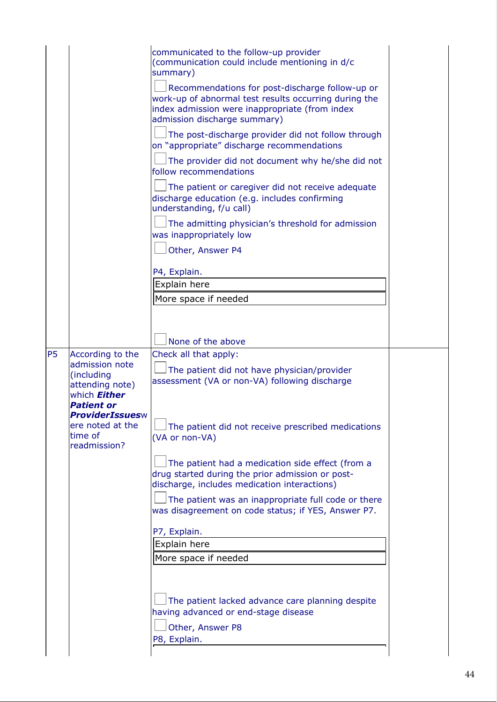|                                                                                                                                                        | communicated to the follow-up provider<br>(communication could include mentioning in d/c<br>summary)<br>Recommendations for post-discharge follow-up or<br>work-up of abnormal test results occurring during the<br>index admission were inappropriate (from index<br>admission discharge summary)<br>The post-discharge provider did not follow through<br>on "appropriate" discharge recommendations<br>The provider did not document why he/she did not<br>follow recommendations<br>The patient or caregiver did not receive adequate<br>discharge education (e.g. includes confirming<br>understanding, f/u call)<br>The admitting physician's threshold for admission<br>was inappropriately low<br>Other, Answer P4<br>P4, Explain.<br>Explain here<br>More space if needed |  |
|--------------------------------------------------------------------------------------------------------------------------------------------------------|------------------------------------------------------------------------------------------------------------------------------------------------------------------------------------------------------------------------------------------------------------------------------------------------------------------------------------------------------------------------------------------------------------------------------------------------------------------------------------------------------------------------------------------------------------------------------------------------------------------------------------------------------------------------------------------------------------------------------------------------------------------------------------|--|
| <b>P5</b><br>According to the                                                                                                                          | None of the above<br>Check all that apply:                                                                                                                                                                                                                                                                                                                                                                                                                                                                                                                                                                                                                                                                                                                                         |  |
| admission note<br>(including<br>attending note)<br>which <b>Either</b><br>Patient or<br>ProviderIssuesw<br>ere noted at the<br>time of<br>readmission? | The patient did not have physician/provider<br>assessment (VA or non-VA) following discharge<br>The patient did not receive prescribed medications<br>(VA or non-VA)<br>The patient had a medication side effect (from a<br>drug started during the prior admission or post-<br>discharge, includes medication interactions)<br>The patient was an inappropriate full code or there<br>was disagreement on code status; if YES, Answer P7.<br>P7, Explain.<br>Explain here<br>More space if needed<br>The patient lacked advance care planning despite<br>having advanced or end-stage disease<br>Other, Answer P8<br>P8, Explain.                                                                                                                                                 |  |